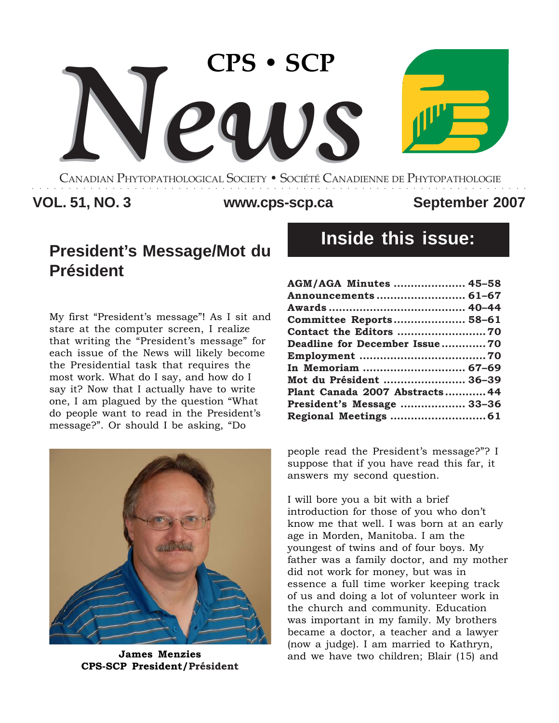

CANADIAN PHYTOPATHOLOGICAL SOCIETY **•** SOCIÉTÉ CANADIENNE DE PHYTOPATHOLOGIE ○○○○○○○○○○○○○○○○○○○○○○○○○○○○○○○○○○○○○○○○○○○○○○○○○○○○○○○○○○○○○○○○○○○○

# VOL. 51, NO. 3 WWW.cps-scp.ca September 2007

# **President's Message/Mot du Président**

My first "President's message"! As I sit and stare at the computer screen, I realize that writing the "President's message" for each issue of the News will likely become the Presidential task that requires the most work. What do I say, and how do I say it? Now that I actually have to write one, I am plagued by the question "What do people want to read in the President's message?". Or should I be asking, "Do



**CPS-SCP President/Président**

# **Inside this issue:**

| AGM/AGA Minutes  45-58         |  |
|--------------------------------|--|
| Announcements  61–67           |  |
|                                |  |
| Committee Reports 58-61        |  |
|                                |  |
| Deadline for December Issue70  |  |
|                                |  |
| In Memoriam  67–69             |  |
| Mot du Président  36-39        |  |
| Plant Canada 2007 Abstracts 44 |  |
| President's Message  33-36     |  |
|                                |  |

people read the President's message?"? I suppose that if you have read this far, it answers my second question.

I will bore you a bit with a brief introduction for those of you who don't know me that well. I was born at an early age in Morden, Manitoba. I am the youngest of twins and of four boys. My father was a family doctor, and my mother did not work for money, but was in essence a full time worker keeping track of us and doing a lot of volunteer work in the church and community. Education was important in my family. My brothers became a doctor, a teacher and a lawyer (now a judge). I am married to Kathryn, **James Menzies and we have two children; Blair (15) and <b>James Menzies**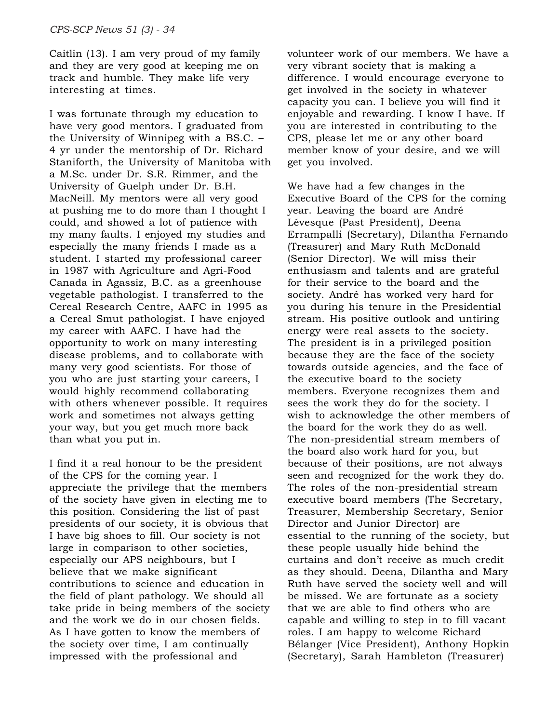Caitlin (13). I am very proud of my family and they are very good at keeping me on track and humble. They make life very interesting at times.

I was fortunate through my education to have very good mentors. I graduated from the University of Winnipeg with a BS.C. – 4 yr under the mentorship of Dr. Richard Staniforth, the University of Manitoba with a M.Sc. under Dr. S.R. Rimmer, and the University of Guelph under Dr. B.H. MacNeill. My mentors were all very good at pushing me to do more than I thought I could, and showed a lot of patience with my many faults. I enjoyed my studies and especially the many friends I made as a student. I started my professional career in 1987 with Agriculture and Agri-Food Canada in Agassiz, B.C. as a greenhouse vegetable pathologist. I transferred to the Cereal Research Centre, AAFC in 1995 as a Cereal Smut pathologist. I have enjoyed my career with AAFC. I have had the opportunity to work on many interesting disease problems, and to collaborate with many very good scientists. For those of you who are just starting your careers, I would highly recommend collaborating with others whenever possible. It requires work and sometimes not always getting your way, but you get much more back than what you put in.

I find it a real honour to be the president of the CPS for the coming year. I appreciate the privilege that the members of the society have given in electing me to this position. Considering the list of past presidents of our society, it is obvious that I have big shoes to fill. Our society is not large in comparison to other societies, especially our APS neighbours, but I believe that we make significant contributions to science and education in the field of plant pathology. We should all take pride in being members of the society and the work we do in our chosen fields. As I have gotten to know the members of the society over time, I am continually impressed with the professional and

volunteer work of our members. We have a very vibrant society that is making a difference. I would encourage everyone to get involved in the society in whatever capacity you can. I believe you will find it enjoyable and rewarding. I know I have. If you are interested in contributing to the CPS, please let me or any other board member know of your desire, and we will get you involved.

We have had a few changes in the Executive Board of the CPS for the coming year. Leaving the board are André Lévesque (Past President), Deena Errampalli (Secretary), Dilantha Fernando (Treasurer) and Mary Ruth McDonald (Senior Director). We will miss their enthusiasm and talents and are grateful for their service to the board and the society. André has worked very hard for you during his tenure in the Presidential stream. His positive outlook and untiring energy were real assets to the society. The president is in a privileged position because they are the face of the society towards outside agencies, and the face of the executive board to the society members. Everyone recognizes them and sees the work they do for the society. I wish to acknowledge the other members of the board for the work they do as well. The non-presidential stream members of the board also work hard for you, but because of their positions, are not always seen and recognized for the work they do. The roles of the non-presidential stream executive board members (The Secretary, Treasurer, Membership Secretary, Senior Director and Junior Director) are essential to the running of the society, but these people usually hide behind the curtains and don't receive as much credit as they should. Deena, Dilantha and Mary Ruth have served the society well and will be missed. We are fortunate as a society that we are able to find others who are capable and willing to step in to fill vacant roles. I am happy to welcome Richard Bélanger (Vice President), Anthony Hopkin (Secretary), Sarah Hambleton (Treasurer)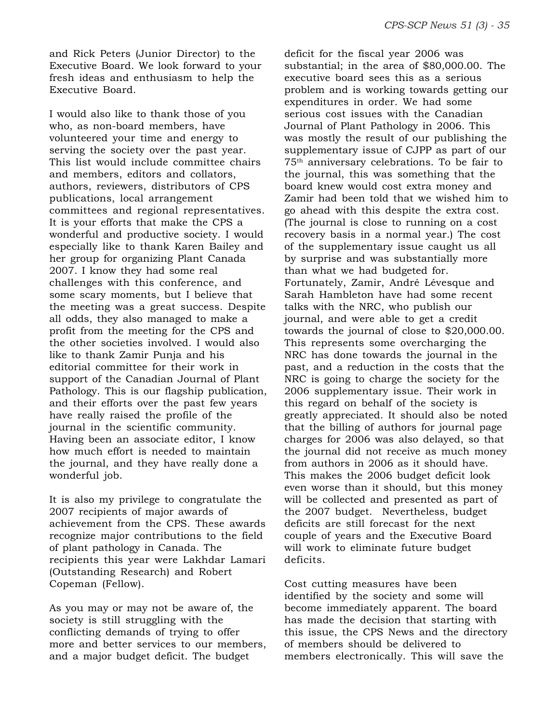and Rick Peters (Junior Director) to the Executive Board. We look forward to your fresh ideas and enthusiasm to help the Executive Board.

I would also like to thank those of you who, as non-board members, have volunteered your time and energy to serving the society over the past year. This list would include committee chairs and members, editors and collators, authors, reviewers, distributors of CPS publications, local arrangement committees and regional representatives. It is your efforts that make the CPS a wonderful and productive society. I would especially like to thank Karen Bailey and her group for organizing Plant Canada 2007. I know they had some real challenges with this conference, and some scary moments, but I believe that the meeting was a great success. Despite all odds, they also managed to make a profit from the meeting for the CPS and the other societies involved. I would also like to thank Zamir Punja and his editorial committee for their work in support of the Canadian Journal of Plant Pathology. This is our flagship publication, and their efforts over the past few years have really raised the profile of the journal in the scientific community. Having been an associate editor, I know how much effort is needed to maintain the journal, and they have really done a wonderful job.

It is also my privilege to congratulate the 2007 recipients of major awards of achievement from the CPS. These awards recognize major contributions to the field of plant pathology in Canada. The recipients this year were Lakhdar Lamari (Outstanding Research) and Robert Copeman (Fellow).

As you may or may not be aware of, the society is still struggling with the conflicting demands of trying to offer more and better services to our members, and a major budget deficit. The budget

deficit for the fiscal year 2006 was substantial; in the area of \$80,000.00. The executive board sees this as a serious problem and is working towards getting our expenditures in order. We had some serious cost issues with the Canadian Journal of Plant Pathology in 2006. This was mostly the result of our publishing the supplementary issue of CJPP as part of our 75th anniversary celebrations. To be fair to the journal, this was something that the board knew would cost extra money and Zamir had been told that we wished him to go ahead with this despite the extra cost. (The journal is close to running on a cost recovery basis in a normal year.) The cost of the supplementary issue caught us all by surprise and was substantially more than what we had budgeted for. Fortunately, Zamir, André Lévesque and Sarah Hambleton have had some recent talks with the NRC, who publish our journal, and were able to get a credit towards the journal of close to \$20,000.00. This represents some overcharging the NRC has done towards the journal in the past, and a reduction in the costs that the NRC is going to charge the society for the 2006 supplementary issue. Their work in this regard on behalf of the society is greatly appreciated. It should also be noted that the billing of authors for journal page charges for 2006 was also delayed, so that the journal did not receive as much money from authors in 2006 as it should have. This makes the 2006 budget deficit look even worse than it should, but this money will be collected and presented as part of the 2007 budget. Nevertheless, budget deficits are still forecast for the next couple of years and the Executive Board will work to eliminate future budget deficits.

Cost cutting measures have been identified by the society and some will become immediately apparent. The board has made the decision that starting with this issue, the CPS News and the directory of members should be delivered to members electronically. This will save the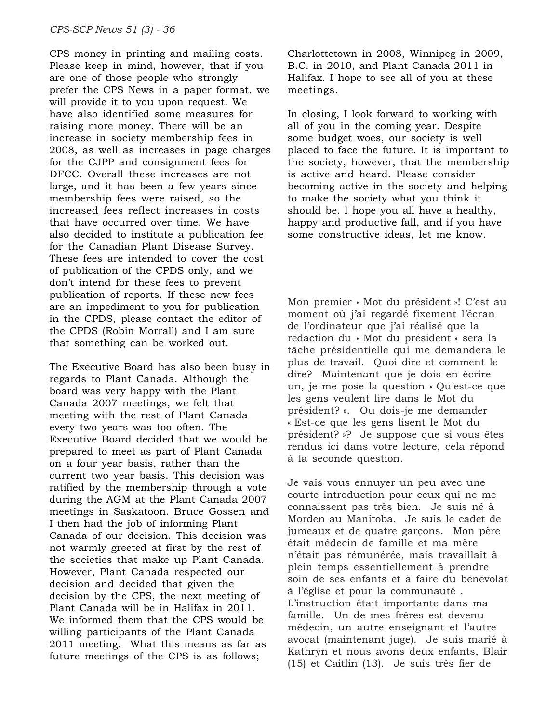CPS money in printing and mailing costs. Please keep in mind, however, that if you are one of those people who strongly prefer the CPS News in a paper format, we will provide it to you upon request. We have also identified some measures for raising more money. There will be an increase in society membership fees in 2008, as well as increases in page charges for the CJPP and consignment fees for DFCC. Overall these increases are not large, and it has been a few years since membership fees were raised, so the increased fees reflect increases in costs that have occurred over time. We have also decided to institute a publication fee for the Canadian Plant Disease Survey. These fees are intended to cover the cost of publication of the CPDS only, and we don't intend for these fees to prevent publication of reports. If these new fees are an impediment to you for publication in the CPDS, please contact the editor of the CPDS (Robin Morrall) and I am sure that something can be worked out.

The Executive Board has also been busy in regards to Plant Canada. Although the board was very happy with the Plant Canada 2007 meetings, we felt that meeting with the rest of Plant Canada every two years was too often. The Executive Board decided that we would be prepared to meet as part of Plant Canada on a four year basis, rather than the current two year basis. This decision was ratified by the membership through a vote during the AGM at the Plant Canada 2007 meetings in Saskatoon. Bruce Gossen and I then had the job of informing Plant Canada of our decision. This decision was not warmly greeted at first by the rest of the societies that make up Plant Canada. However, Plant Canada respected our decision and decided that given the decision by the CPS, the next meeting of Plant Canada will be in Halifax in 2011. We informed them that the CPS would be willing participants of the Plant Canada 2011 meeting. What this means as far as future meetings of the CPS is as follows;

Charlottetown in 2008, Winnipeg in 2009, B.C. in 2010, and Plant Canada 2011 in Halifax. I hope to see all of you at these meetings.

In closing, I look forward to working with all of you in the coming year. Despite some budget woes, our society is well placed to face the future. It is important to the society, however, that the membership is active and heard. Please consider becoming active in the society and helping to make the society what you think it should be. I hope you all have a healthy, happy and productive fall, and if you have some constructive ideas, let me know.

Mon premier « Mot du président »! C'est au moment où j'ai regardé fixement l'écran de l'ordinateur que j'ai réalisé que la rédaction du « Mot du président » sera la tâche présidentielle qui me demandera le plus de travail. Quoi dire et comment le dire? Maintenant que je dois en écrire un, je me pose la question « Qu'est-ce que les gens veulent lire dans le Mot du président? ». Ou dois-je me demander « Est-ce que les gens lisent le Mot du président? »? Je suppose que si vous êtes rendus ici dans votre lecture, cela répond à la seconde question.

Je vais vous ennuyer un peu avec une courte introduction pour ceux qui ne me connaissent pas très bien. Je suis né à Morden au Manitoba. Je suis le cadet de jumeaux et de quatre garçons. Mon père était médecin de famille et ma mère n'était pas rémunérée, mais travaillait à plein temps essentiellement à prendre soin de ses enfants et à faire du bénévolat à l'église et pour la communauté . L'instruction était importante dans ma famille. Un de mes frères est devenu médecin, un autre enseignant et l'autre avocat (maintenant juge). Je suis marié à Kathryn et nous avons deux enfants, Blair (15) et Caitlin (13). Je suis très fier de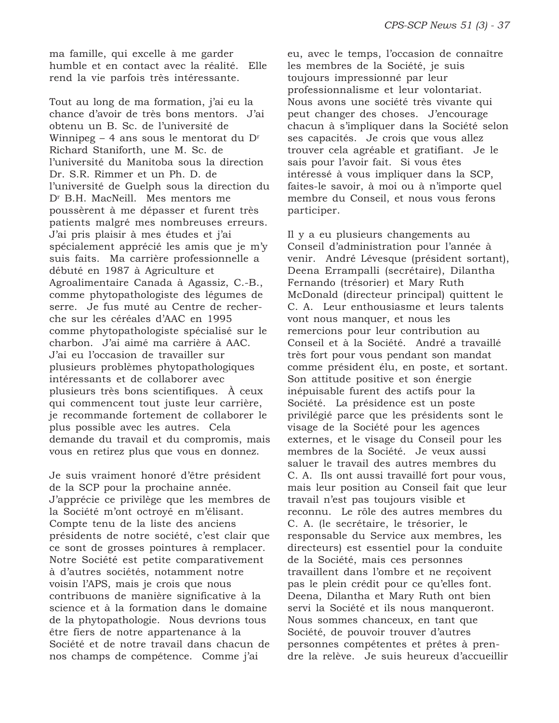ma famille, qui excelle à me garder humble et en contact avec la réalité. Elle rend la vie parfois très intéressante.

Tout au long de ma formation, j'ai eu la chance d'avoir de très bons mentors. J'ai obtenu un B. Sc. de l'université de Winnipeg – 4 ans sous le mentorat du  $D<sup>r</sup>$ Richard Staniforth, une M. Sc. de l'université du Manitoba sous la direction Dr. S.R. Rimmer et un Ph. D. de l'université de Guelph sous la direction du Dr B.H. MacNeill. Mes mentors me poussèrent à me dépasser et furent très patients malgré mes nombreuses erreurs. J'ai pris plaisir à mes études et j'ai spécialement apprécié les amis que je m'y suis faits. Ma carrière professionnelle a débuté en 1987 à Agriculture et Agroalimentaire Canada à Agassiz, C.-B., comme phytopathologiste des légumes de serre. Je fus muté au Centre de recherche sur les céréales d'AAC en 1995 comme phytopathologiste spécialisé sur le charbon. J'ai aimé ma carrière à AAC. J'ai eu l'occasion de travailler sur plusieurs problèmes phytopathologiques intéressants et de collaborer avec plusieurs très bons scientifiques. À ceux qui commencent tout juste leur carrière, je recommande fortement de collaborer le plus possible avec les autres. Cela demande du travail et du compromis, mais vous en retirez plus que vous en donnez.

Je suis vraiment honoré d'être président de la SCP pour la prochaine année. J'apprécie ce privilège que les membres de la Société m'ont octroyé en m'élisant. Compte tenu de la liste des anciens présidents de notre société, c'est clair que ce sont de grosses pointures à remplacer. Notre Société est petite comparativement à d'autres sociétés, notamment notre voisin l'APS, mais je crois que nous contribuons de manière significative à la science et à la formation dans le domaine de la phytopathologie. Nous devrions tous être fiers de notre appartenance à la Société et de notre travail dans chacun de nos champs de compétence. Comme j'ai

eu, avec le temps, l'occasion de connaître les membres de la Société, je suis toujours impressionné par leur professionnalisme et leur volontariat. Nous avons une société très vivante qui peut changer des choses. J'encourage chacun à s'impliquer dans la Société selon ses capacités. Je crois que vous allez trouver cela agréable et gratifiant. Je le sais pour l'avoir fait. Si vous êtes intéressé à vous impliquer dans la SCP, faites-le savoir, à moi ou à n'importe quel membre du Conseil, et nous vous ferons participer.

Il y a eu plusieurs changements au Conseil d'administration pour l'année à venir. André Lévesque (président sortant), Deena Errampalli (secrétaire), Dilantha Fernando (trésorier) et Mary Ruth McDonald (directeur principal) quittent le C. A. Leur enthousiasme et leurs talents vont nous manquer, et nous les remercions pour leur contribution au Conseil et à la Société. André a travaillé très fort pour vous pendant son mandat comme président élu, en poste, et sortant. Son attitude positive et son énergie inépuisable furent des actifs pour la Société. La présidence est un poste privilégié parce que les présidents sont le visage de la Société pour les agences externes, et le visage du Conseil pour les membres de la Société. Je veux aussi saluer le travail des autres membres du C. A. Ils ont aussi travaillé fort pour vous, mais leur position au Conseil fait que leur travail n'est pas toujours visible et reconnu. Le rôle des autres membres du C. A. (le secrétaire, le trésorier, le responsable du Service aux membres, les directeurs) est essentiel pour la conduite de la Société, mais ces personnes travaillent dans l'ombre et ne reçoivent pas le plein crédit pour ce qu'elles font. Deena, Dilantha et Mary Ruth ont bien servi la Société et ils nous manqueront. Nous sommes chanceux, en tant que Société, de pouvoir trouver d'autres personnes compétentes et prêtes à prendre la relève. Je suis heureux d'accueillir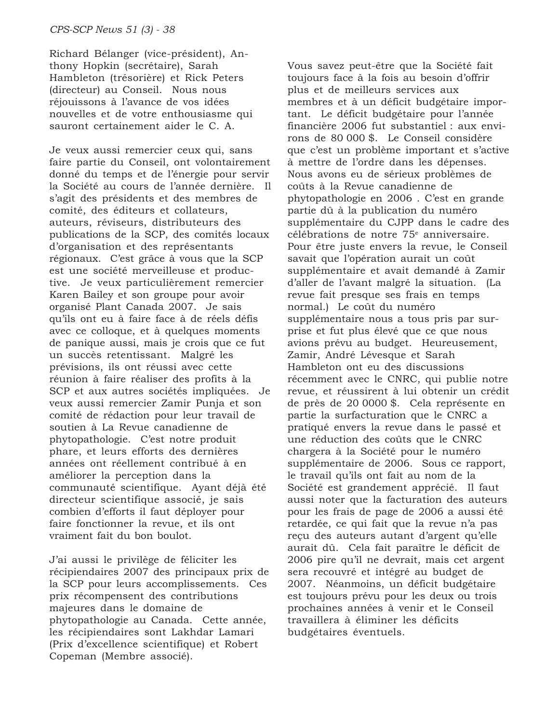Richard Bélanger (vice-président), Anthony Hopkin (secrétaire), Sarah Hambleton (trésorière) et Rick Peters (directeur) au Conseil. Nous nous réjouissons à l'avance de vos idées nouvelles et de votre enthousiasme qui sauront certainement aider le C. A.

Je veux aussi remercier ceux qui, sans faire partie du Conseil, ont volontairement donné du temps et de l'énergie pour servir la Société au cours de l'année dernière. Il s'agit des présidents et des membres de comité, des éditeurs et collateurs, auteurs, réviseurs, distributeurs des publications de la SCP, des comités locaux d'organisation et des représentants régionaux. C'est grâce à vous que la SCP est une société merveilleuse et productive. Je veux particulièrement remercier Karen Bailey et son groupe pour avoir organisé Plant Canada 2007. Je sais qu'ils ont eu à faire face à de réels défis avec ce colloque, et à quelques moments de panique aussi, mais je crois que ce fut un succès retentissant. Malgré les prévisions, ils ont réussi avec cette réunion à faire réaliser des profits à la SCP et aux autres sociétés impliquées. Je veux aussi remercier Zamir Punja et son comité de rédaction pour leur travail de soutien à La Revue canadienne de phytopathologie. C'est notre produit phare, et leurs efforts des dernières années ont réellement contribué à en améliorer la perception dans la communauté scientifique. Ayant déjà été directeur scientifique associé, je sais combien d'efforts il faut déployer pour faire fonctionner la revue, et ils ont vraiment fait du bon boulot.

J'ai aussi le privilège de féliciter les récipiendaires 2007 des principaux prix de la SCP pour leurs accomplissements. Ces prix récompensent des contributions majeures dans le domaine de phytopathologie au Canada. Cette année, les récipiendaires sont Lakhdar Lamari (Prix d'excellence scientifique) et Robert Copeman (Membre associé).

Vous savez peut-être que la Société fait toujours face à la fois au besoin d'offrir plus et de meilleurs services aux membres et à un déficit budgétaire important. Le déficit budgétaire pour l'année financière 2006 fut substantiel : aux environs de 80 000 \$. Le Conseil considère que c'est un problème important et s'active à mettre de l'ordre dans les dépenses. Nous avons eu de sérieux problèmes de coûts à la Revue canadienne de phytopathologie en 2006 . C'est en grande partie dû à la publication du numéro supplémentaire du CJPP dans le cadre des célébrations de notre 75<sup>e</sup> anniversaire. Pour être juste envers la revue, le Conseil savait que l'opération aurait un coût supplémentaire et avait demandé à Zamir d'aller de l'avant malgré la situation. (La revue fait presque ses frais en temps normal.) Le coût du numéro supplémentaire nous a tous pris par surprise et fut plus élevé que ce que nous avions prévu au budget. Heureusement, Zamir, André Lévesque et Sarah Hambleton ont eu des discussions récemment avec le CNRC, qui publie notre revue, et réussirent à lui obtenir un crédit de près de 20 0000 \$. Cela représente en partie la surfacturation que le CNRC a pratiqué envers la revue dans le passé et une réduction des coûts que le CNRC chargera à la Société pour le numéro supplémentaire de 2006. Sous ce rapport, le travail qu'ils ont fait au nom de la Société est grandement apprécié. Il faut aussi noter que la facturation des auteurs pour les frais de page de 2006 a aussi été retardée, ce qui fait que la revue n'a pas reçu des auteurs autant d'argent qu'elle aurait dû. Cela fait paraître le déficit de 2006 pire qu'il ne devrait, mais cet argent sera recouvré et intégré au budget de 2007. Néanmoins, un déficit budgétaire est toujours prévu pour les deux ou trois prochaines années à venir et le Conseil travaillera à éliminer les déficits budgétaires éventuels.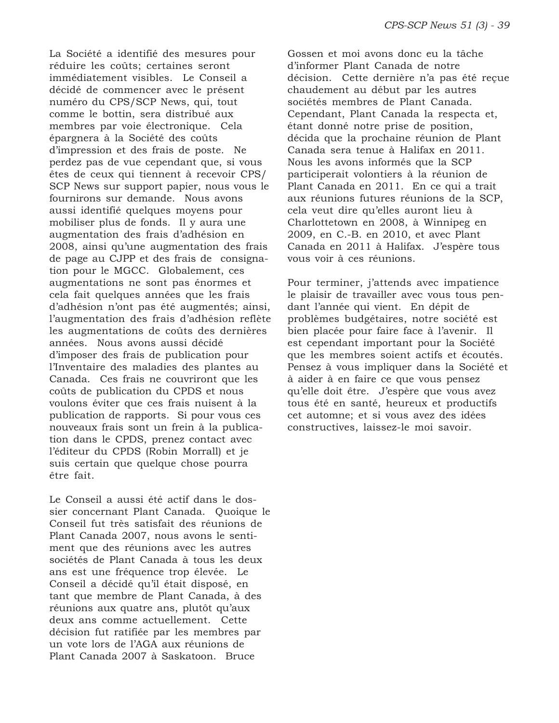La Société a identifié des mesures pour réduire les coûts; certaines seront immédiatement visibles. Le Conseil a décidé de commencer avec le présent numéro du CPS/SCP News, qui, tout comme le bottin, sera distribué aux membres par voie électronique. Cela épargnera à la Société des coûts d'impression et des frais de poste. Ne perdez pas de vue cependant que, si vous êtes de ceux qui tiennent à recevoir CPS/ SCP News sur support papier, nous vous le fournirons sur demande. Nous avons aussi identifié quelques moyens pour mobiliser plus de fonds. Il y aura une augmentation des frais d'adhésion en 2008, ainsi qu'une augmentation des frais de page au CJPP et des frais de consignation pour le MGCC. Globalement, ces augmentations ne sont pas énormes et cela fait quelques années que les frais d'adhésion n'ont pas été augmentés; ainsi, l'augmentation des frais d'adhésion reflète les augmentations de coûts des dernières années. Nous avons aussi décidé d'imposer des frais de publication pour l'Inventaire des maladies des plantes au Canada. Ces frais ne couvriront que les coûts de publication du CPDS et nous voulons éviter que ces frais nuisent à la publication de rapports. Si pour vous ces nouveaux frais sont un frein à la publication dans le CPDS, prenez contact avec l'éditeur du CPDS (Robin Morrall) et je suis certain que quelque chose pourra être fait.

Le Conseil a aussi été actif dans le dossier concernant Plant Canada. Quoique le Conseil fut très satisfait des réunions de Plant Canada 2007, nous avons le sentiment que des réunions avec les autres sociétés de Plant Canada à tous les deux ans est une fréquence trop élevée. Le Conseil a décidé qu'il était disposé, en tant que membre de Plant Canada, à des réunions aux quatre ans, plutôt qu'aux deux ans comme actuellement. Cette décision fut ratifiée par les membres par un vote lors de l'AGA aux réunions de Plant Canada 2007 à Saskatoon. Bruce

Gossen et moi avons donc eu la tâche d'informer Plant Canada de notre décision. Cette dernière n'a pas été reçue chaudement au début par les autres sociétés membres de Plant Canada. Cependant, Plant Canada la respecta et, étant donné notre prise de position, décida que la prochaine réunion de Plant Canada sera tenue à Halifax en 2011. Nous les avons informés que la SCP participerait volontiers à la réunion de Plant Canada en 2011. En ce qui a trait aux réunions futures réunions de la SCP, cela veut dire qu'elles auront lieu à Charlottetown en 2008, à Winnipeg en 2009, en C.-B. en 2010, et avec Plant Canada en 2011 à Halifax. J'espère tous vous voir à ces réunions.

Pour terminer, j'attends avec impatience le plaisir de travailler avec vous tous pendant l'année qui vient. En dépit de problèmes budgétaires, notre société est bien placée pour faire face à l'avenir. Il est cependant important pour la Société que les membres soient actifs et écoutés. Pensez à vous impliquer dans la Société et à aider à en faire ce que vous pensez qu'elle doit être. J'espère que vous avez tous été en santé, heureux et productifs cet automne; et si vous avez des idées constructives, laissez-le moi savoir.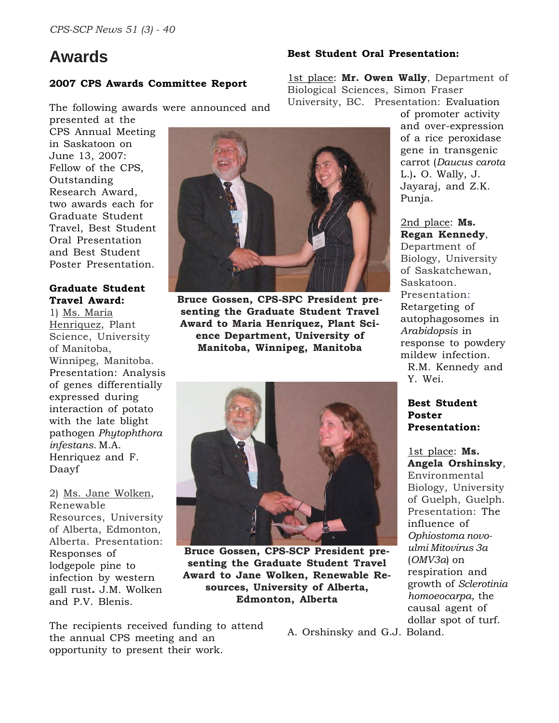# **Awards**

# **2007 CPS Awards Committee Report**

The following awards were announced and

presented at the CPS Annual Meeting in Saskatoon on June 13, 2007: Fellow of the CPS, Outstanding Research Award, two awards each for Graduate Student Travel, Best Student Oral Presentation and Best Student Poster Presentation.

# **Graduate Student Travel Award:**

1) Ms. Maria Henriquez, Plant Science, University of Manitoba, Winnipeg, Manitoba. Presentation: Analysis of genes differentially expressed during interaction of potato with the late blight pathogen *Phytophthora infestans.* M.A. Henriquez and F. Daayf

2) Ms. Jane Wolken, Renewable Resources, University of Alberta, Edmonton, Alberta. Presentation: Responses of lodgepole pine to infection by western gall rust**.** J.M. Wolken and P.V. Blenis.



**Bruce Gossen, CPS-SPC President presenting the Graduate Student Travel Award to Maria Henriquez, Plant Science Department, University of Manitoba, Winnipeg, Manitoba**



**Bruce Gossen, CPS-SCP President presenting the Graduate Student Travel Award to Jane Wolken, Renewable Resources, University of Alberta, Edmonton, Alberta**

The recipients received funding to attend the annual CPS meeting and an opportunity to present their work.

#### **Best Student Oral Presentation:**

1st place: **Mr. Owen Wally**, Department of Biological Sciences, Simon Fraser University, BC. Presentation: Evaluation

> of promoter activity and over-expression of a rice peroxidase gene in transgenic carrot (*Daucus carota* L.)**.** O. Wally, J. Jayaraj, and Z.K. Punja.

2nd place: **Ms. Regan Kennedy**, Department of Biology, University of Saskatchewan, Saskatoon. Presentation: Retargeting of autophagosomes in *Arabidopsis* in response to powdery mildew infection. R.M. Kennedy and Y. Wei.

### **Best Student Poster Presentation:**

1st place: **Ms. Angela Orshinsky**, Environmental Biology, University of Guelph, Guelph. Presentation: The influence of *Ophiostoma novoulmi Mitovirus 3a* (*OMV3a*) on respiration and growth of *Sclerotinia homoeocarpa*, the causal agent of dollar spot of turf.

A. Orshinsky and G.J. Boland*.*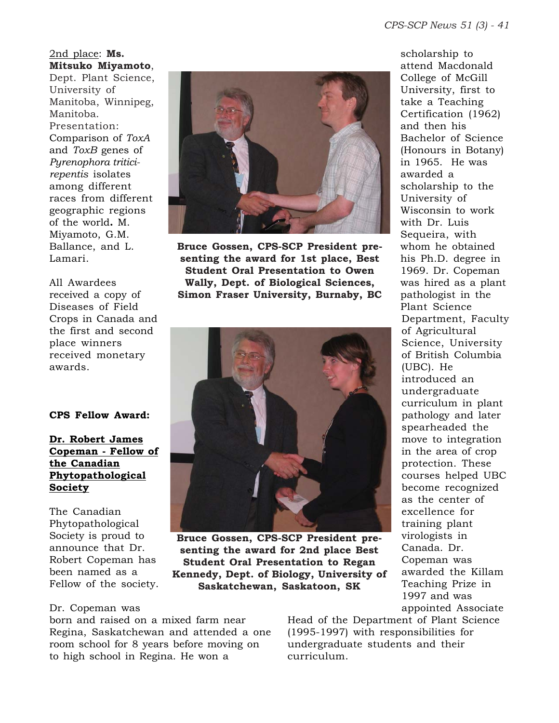2nd place: **Ms. Mitsuko Miyamoto**, Dept. Plant Science, University of Manitoba, Winnipeg, Manitoba. Presentation: Comparison of *ToxA* and *ToxB* genes of *Pyrenophora triticirepentis* isolates among different races from different geographic regions of the world**.** M.

Miyamoto, G.M. Ballance, and L. Lamari.

All Awardees received a copy of Diseases of Field Crops in Canada and the first and second place winners received monetary awards.

**CPS Fellow Award:**

# **Dr. Robert James Copeman - Fellow of the Canadian Phytopathological Society**

The Canadian Phytopathological Society is proud to announce that Dr. Robert Copeman has been named as a Fellow of the society.

**Bruce Gossen, CPS-SCP President presenting the award for 1st place, Best Student Oral Presentation to Owen Wally, Dept. of Biological Sciences, Simon Fraser University, Burnaby, BC**



**Bruce Gossen, CPS-SCP President presenting the award for 2nd place Best Student Oral Presentation to Regan Kennedy, Dept. of Biology, University of Saskatchewan, Saskatoon, SK**

scholarship to attend Macdonald College of McGill University, first to take a Teaching Certification (1962) and then his Bachelor of Science (Honours in Botany) in 1965. He was awarded a scholarship to the University of Wisconsin to work with Dr. Luis Sequeira, with whom he obtained his Ph.D. degree in 1969. Dr. Copeman was hired as a plant pathologist in the Plant Science Department, Faculty of Agricultural Science, University of British Columbia (UBC). He introduced an undergraduate curriculum in plant pathology and later spearheaded the move to integration in the area of crop protection. These courses helped UBC become recognized as the center of excellence for training plant virologists in Canada. Dr. Copeman was awarded the Killam Teaching Prize in 1997 and was appointed Associate

Dr. Copeman was

born and raised on a mixed farm near Regina, Saskatchewan and attended a one room school for 8 years before moving on to high school in Regina. He won a

Head of the Department of Plant Science (1995-1997) with responsibilities for undergraduate students and their curriculum.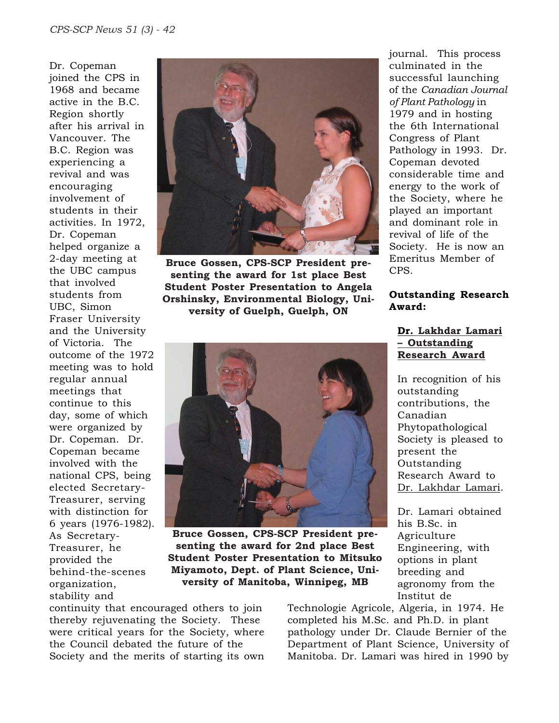Dr. Copeman joined the CPS in 1968 and became active in the B.C. Region shortly after his arrival in Vancouver. The B.C. Region was experiencing a revival and was encouraging involvement of students in their activities. In 1972, Dr. Copeman helped organize a 2-day meeting at the UBC campus that involved students from UBC, Simon Fraser University and the University of Victoria. The outcome of the 1972 meeting was to hold regular annual meetings that continue to this day, some of which were organized by Dr. Copeman. Dr. Copeman became involved with the national CPS, being elected Secretary-Treasurer, serving with distinction for 6 years (1976-1982). As Secretary-Treasurer, he provided the behind-the-scenes organization, stability and



**Bruce Gossen, CPS-SCP President presenting the award for 1st place Best Student Poster Presentation to Angela Orshinsky, Environmental Biology, University of Guelph, Guelph, ON**

journal. This process culminated in the successful launching of the *Canadian Journal of Plant Pathology* in 1979 and in hosting the 6th International Congress of Plant Pathology in 1993. Dr. Copeman devoted considerable time and energy to the work of the Society, where he played an important and dominant role in revival of life of the Society. He is now an Emeritus Member of CPS.

#### **Outstanding Research Award:**

# **Dr. Lakhdar Lamari – Outstanding Research Award**

In recognition of his outstanding contributions, the Canadian Phytopathological Society is pleased to present the Outstanding Research Award to Dr. Lakhdar Lamari.

Dr. Lamari obtained his B.Sc. in Agriculture Engineering, with options in plant breeding and agronomy from the Institut de

**Bruce Gossen, CPS-SCP President presenting the award for 2nd place Best Student Poster Presentation to Mitsuko Miyamoto, Dept. of Plant Science, University of Manitoba, Winnipeg, MB**

continuity that encouraged others to join thereby rejuvenating the Society. These were critical years for the Society, where the Council debated the future of the Society and the merits of starting its own Technologie Agricole, Algeria, in 1974. He completed his M.Sc. and Ph.D. in plant pathology under Dr. Claude Bernier of the Department of Plant Science, University of Manitoba. Dr. Lamari was hired in 1990 by

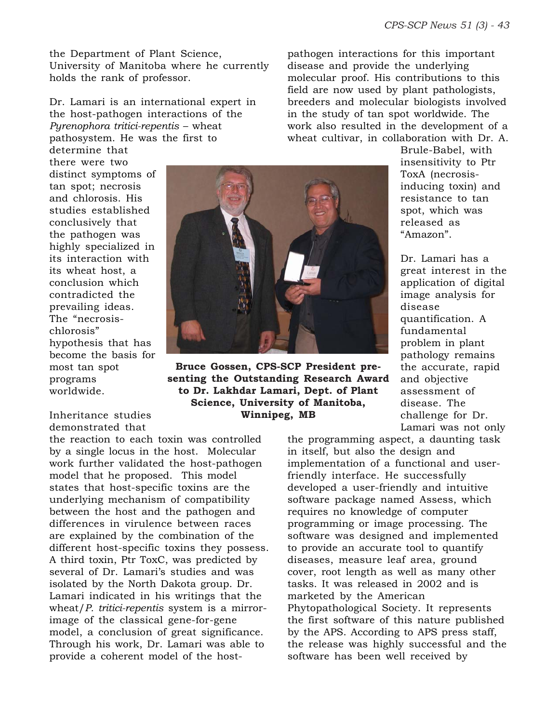the Department of Plant Science, University of Manitoba where he currently holds the rank of professor.

Dr. Lamari is an international expert in the host-pathogen interactions of the *Pyrenophora tritici-repentis* – wheat pathosystem. He was the first to

determine that there were two distinct symptoms of tan spot; necrosis and chlorosis. His studies established conclusively that the pathogen was highly specialized in its interaction with its wheat host, a conclusion which contradicted the prevailing ideas. The "necrosischlorosis" hypothesis that has become the basis for most tan spot programs worldwide.

Inheritance studies demonstrated that

the reaction to each toxin was controlled by a single locus in the host. Molecular work further validated the host-pathogen model that he proposed. This model states that host-specific toxins are the underlying mechanism of compatibility between the host and the pathogen and differences in virulence between races are explained by the combination of the different host-specific toxins they possess. A third toxin, Ptr ToxC, was predicted by several of Dr. Lamari's studies and was isolated by the North Dakota group. Dr. Lamari indicated in his writings that the wheat/*P. tritici-repentis* system is a mirrorimage of the classical gene-for-gene model, a conclusion of great significance. Through his work, Dr. Lamari was able to provide a coherent model of the host-



**Bruce Gossen, CPS-SCP President presenting the Outstanding Research Award to Dr. Lakhdar Lamari, Dept. of Plant Science, University of Manitoba, Winnipeg, MB**

pathogen interactions for this important disease and provide the underlying molecular proof. His contributions to this field are now used by plant pathologists, breeders and molecular biologists involved in the study of tan spot worldwide. The work also resulted in the development of a wheat cultivar, in collaboration with Dr. A.

Brule-Babel, with insensitivity to Ptr ToxA (necrosisinducing toxin) and resistance to tan spot, which was released as "Amazon".

Dr. Lamari has a great interest in the application of digital image analysis for disease quantification. A fundamental problem in plant pathology remains the accurate, rapid and objective assessment of disease. The challenge for Dr. Lamari was not only

the programming aspect, a daunting task in itself, but also the design and implementation of a functional and userfriendly interface. He successfully developed a user-friendly and intuitive software package named Assess, which requires no knowledge of computer programming or image processing. The software was designed and implemented to provide an accurate tool to quantify diseases, measure leaf area, ground cover, root length as well as many other tasks. It was released in 2002 and is marketed by the American Phytopathological Society. It represents the first software of this nature published by the APS. According to APS press staff, the release was highly successful and the software has been well received by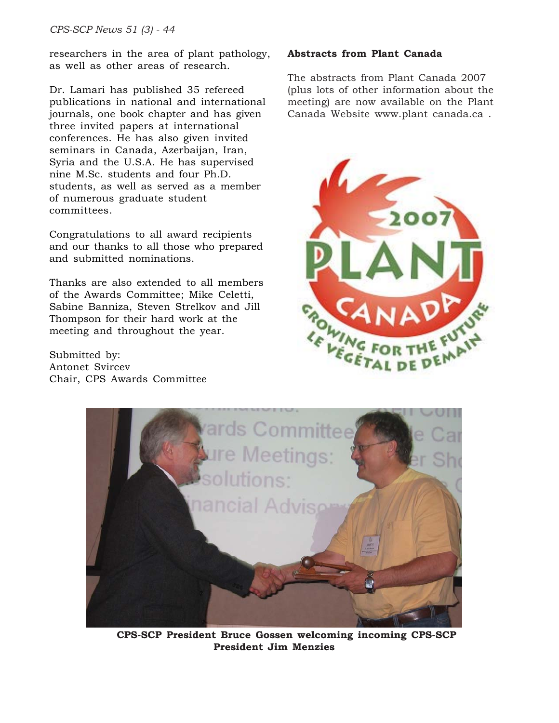researchers in the area of plant pathology, as well as other areas of research.

Dr. Lamari has published 35 refereed publications in national and international journals, one book chapter and has given three invited papers at international conferences. He has also given invited seminars in Canada, Azerbaijan, Iran, Syria and the U.S.A. He has supervised nine M.Sc. students and four Ph.D. students, as well as served as a member of numerous graduate student committees.

Congratulations to all award recipients and our thanks to all those who prepared and submitted nominations.

Thanks are also extended to all members of the Awards Committee; Mike Celetti, Sabine Banniza, Steven Strelkov and Jill Thompson for their hard work at the meeting and throughout the year.

Submitted by: Antonet Svircev Chair, CPS Awards Committee

# **Abstracts from Plant Canada**

The abstracts from Plant Canada 2007 (plus lots of other information about the meeting) are now available on the Plant Canada Website www.plant canada.ca .





**CPS-SCP President Bruce Gossen welcoming incoming CPS-SCP President Jim Menzies**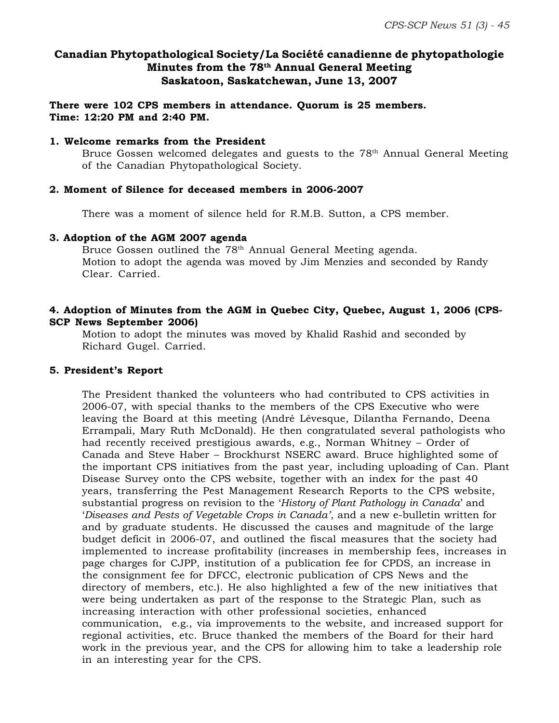# **Canadian Phytopathological Society/La Société canadienne de phytopathologie Minutes from the 78th Annual General Meeting Saskatoon, Saskatchewan, June 13, 2007**

**There were 102 CPS members in attendance. Quorum is 25 members. Time: 12:20 PM and 2:40 PM.**

#### **1. Welcome remarks from the President**

Bruce Gossen welcomed delegates and guests to the  $78<sup>th</sup>$  Annual General Meeting of the Canadian Phytopathological Society.

#### **2. Moment of Silence for deceased members in 2006-2007**

There was a moment of silence held for R.M.B. Sutton, a CPS member.

#### **3. Adoption of the AGM 2007 agenda**

Bruce Gossen outlined the 78<sup>th</sup> Annual General Meeting agenda. Motion to adopt the agenda was moved by Jim Menzies and seconded by Randy Clear. Carried.

# **4. Adoption of Minutes from the AGM in Quebec City, Quebec, August 1, 2006 (CPS-SCP News September 2006)**

Motion to adopt the minutes was moved by Khalid Rashid and seconded by Richard Gugel. Carried.

#### **5. President's Report**

The President thanked the volunteers who had contributed to CPS activities in 2006-07, with special thanks to the members of the CPS Executive who were leaving the Board at this meeting (André Lévesque, Dilantha Fernando, Deena Errampali, Mary Ruth McDonald). He then congratulated several pathologists who had recently received prestigious awards, e.g., Norman Whitney – Order of Canada and Steve Haber – Brockhurst NSERC award. Bruce highlighted some of the important CPS initiatives from the past year, including uploading of Can. Plant Disease Survey onto the CPS website, together with an index for the past 40 years, transferring the Pest Management Research Reports to the CPS website, substantial progress on revision to the '*History of Plant Pathology in Canada*' and '*Diseases and Pests of Vegetable Crops in Canada'*, and a new e-bulletin written for and by graduate students. He discussed the causes and magnitude of the large budget deficit in 2006-07, and outlined the fiscal measures that the society had implemented to increase profitability (increases in membership fees, increases in page charges for CJPP, institution of a publication fee for CPDS, an increase in the consignment fee for DFCC, electronic publication of CPS News and the directory of members, etc.). He also highlighted a few of the new initiatives that were being undertaken as part of the response to the Strategic Plan, such as increasing interaction with other professional societies, enhanced communication, e.g., via improvements to the website, and increased support for regional activities, etc. Bruce thanked the members of the Board for their hard work in the previous year, and the CPS for allowing him to take a leadership role in an interesting year for the CPS.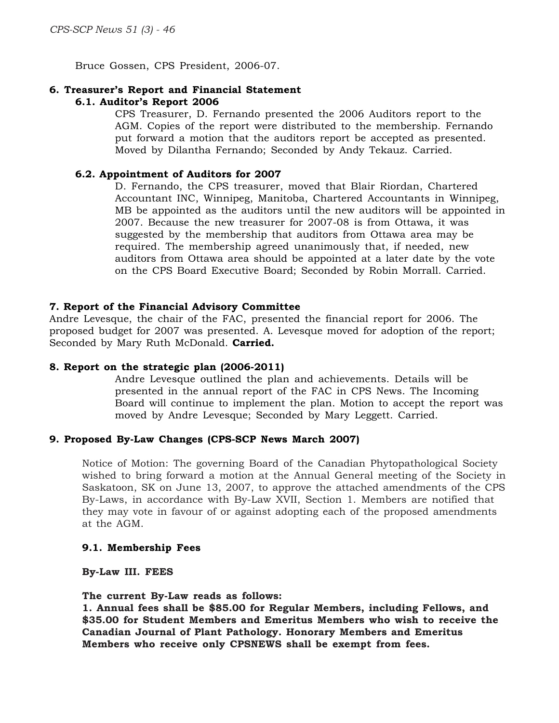Bruce Gossen, CPS President, 2006-07.

#### **6. Treasurer's Report and Financial Statement 6.1. Auditor's Report 2006**

CPS Treasurer, D. Fernando presented the 2006 Auditors report to the AGM. Copies of the report were distributed to the membership. Fernando put forward a motion that the auditors report be accepted as presented. Moved by Dilantha Fernando; Seconded by Andy Tekauz. Carried.

#### **6.2. Appointment of Auditors for 2007**

D. Fernando, the CPS treasurer, moved that Blair Riordan, Chartered Accountant INC, Winnipeg, Manitoba, Chartered Accountants in Winnipeg, MB be appointed as the auditors until the new auditors will be appointed in 2007. Because the new treasurer for 2007-08 is from Ottawa, it was suggested by the membership that auditors from Ottawa area may be required. The membership agreed unanimously that, if needed, new auditors from Ottawa area should be appointed at a later date by the vote on the CPS Board Executive Board; Seconded by Robin Morrall. Carried.

#### **7. Report of the Financial Advisory Committee**

Andre Levesque, the chair of the FAC, presented the financial report for 2006. The proposed budget for 2007 was presented. A. Levesque moved for adoption of the report; Seconded by Mary Ruth McDonald. **Carried.**

#### **8. Report on the strategic plan (2006-2011)**

Andre Levesque outlined the plan and achievements. Details will be presented in the annual report of the FAC in CPS News. The Incoming Board will continue to implement the plan. Motion to accept the report was moved by Andre Levesque; Seconded by Mary Leggett. Carried.

#### **9. Proposed By-Law Changes (CPS-SCP News March 2007)**

Notice of Motion: The governing Board of the Canadian Phytopathological Society wished to bring forward a motion at the Annual General meeting of the Society in Saskatoon, SK on June 13, 2007, to approve the attached amendments of the CPS By-Laws, in accordance with By-Law XVII, Section 1. Members are notified that they may vote in favour of or against adopting each of the proposed amendments at the AGM.

#### **9.1. Membership Fees**

**By-Law III. FEES**

#### **The current By-Law reads as follows:**

**1. Annual fees shall be \$85.00 for Regular Members, including Fellows, and \$35.00 for Student Members and Emeritus Members who wish to receive the Canadian Journal of Plant Pathology. Honorary Members and Emeritus Members who receive only CPSNEWS shall be exempt from fees.**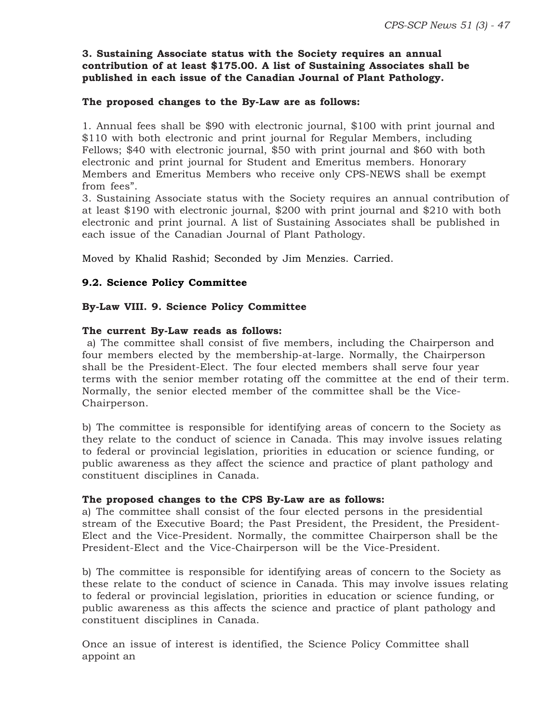# **3. Sustaining Associate status with the Society requires an annual contribution of at least \$175.00. A list of Sustaining Associates shall be published in each issue of the Canadian Journal of Plant Pathology.**

# **The proposed changes to the By-Law are as follows:**

1. Annual fees shall be \$90 with electronic journal, \$100 with print journal and \$110 with both electronic and print journal for Regular Members, including Fellows; \$40 with electronic journal, \$50 with print journal and \$60 with both electronic and print journal for Student and Emeritus members. Honorary Members and Emeritus Members who receive only CPS-NEWS shall be exempt from fees".

3. Sustaining Associate status with the Society requires an annual contribution of at least \$190 with electronic journal, \$200 with print journal and \$210 with both electronic and print journal. A list of Sustaining Associates shall be published in each issue of the Canadian Journal of Plant Pathology.

Moved by Khalid Rashid; Seconded by Jim Menzies. Carried.

# **9.2. Science Policy Committee**

# **By-Law VIII. 9. Science Policy Committee**

#### **The current By-Law reads as follows:**

 a) The committee shall consist of five members, including the Chairperson and four members elected by the membership-at-large. Normally, the Chairperson shall be the President-Elect. The four elected members shall serve four year terms with the senior member rotating off the committee at the end of their term. Normally, the senior elected member of the committee shall be the Vice-Chairperson.

b) The committee is responsible for identifying areas of concern to the Society as they relate to the conduct of science in Canada. This may involve issues relating to federal or provincial legislation, priorities in education or science funding, or public awareness as they affect the science and practice of plant pathology and constituent disciplines in Canada.

#### **The proposed changes to the CPS By-Law are as follows:**

a) The committee shall consist of the four elected persons in the presidential stream of the Executive Board; the Past President, the President, the President-Elect and the Vice-President. Normally, the committee Chairperson shall be the President-Elect and the Vice-Chairperson will be the Vice-President.

b) The committee is responsible for identifying areas of concern to the Society as these relate to the conduct of science in Canada. This may involve issues relating to federal or provincial legislation, priorities in education or science funding, or public awareness as this affects the science and practice of plant pathology and constituent disciplines in Canada.

Once an issue of interest is identified, the Science Policy Committee shall appoint an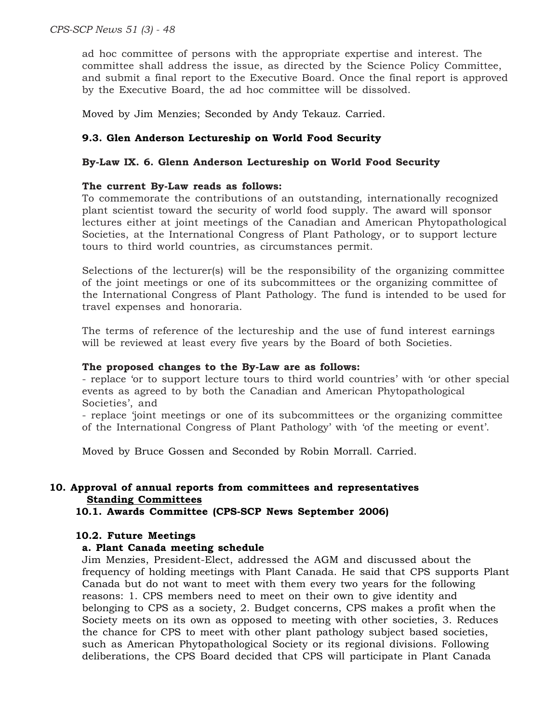ad hoc committee of persons with the appropriate expertise and interest. The committee shall address the issue, as directed by the Science Policy Committee, and submit a final report to the Executive Board. Once the final report is approved by the Executive Board, the ad hoc committee will be dissolved.

Moved by Jim Menzies; Seconded by Andy Tekauz. Carried.

# **9.3. Glen Anderson Lectureship on World Food Security**

# **By-Law IX. 6. Glenn Anderson Lectureship on World Food Security**

# **The current By-Law reads as follows:**

To commemorate the contributions of an outstanding, internationally recognized plant scientist toward the security of world food supply. The award will sponsor lectures either at joint meetings of the Canadian and American Phytopathological Societies, at the International Congress of Plant Pathology, or to support lecture tours to third world countries, as circumstances permit.

Selections of the lecturer(s) will be the responsibility of the organizing committee of the joint meetings or one of its subcommittees or the organizing committee of the International Congress of Plant Pathology. The fund is intended to be used for travel expenses and honoraria.

The terms of reference of the lectureship and the use of fund interest earnings will be reviewed at least every five years by the Board of both Societies.

#### **The proposed changes to the By-Law are as follows:**

- replace 'or to support lecture tours to third world countries' with 'or other special events as agreed to by both the Canadian and American Phytopathological Societies', and

- replace 'joint meetings or one of its subcommittees or the organizing committee of the International Congress of Plant Pathology' with 'of the meeting or event'.

Moved by Bruce Gossen and Seconded by Robin Morrall. Carried.

# **10. Approval of annual reports from committees and representatives Standing Committees**

# **10.1. Awards Committee (CPS-SCP News September 2006)**

#### **10.2. Future Meetings**

# **a. Plant Canada meeting schedule**

Jim Menzies, President-Elect, addressed the AGM and discussed about the frequency of holding meetings with Plant Canada. He said that CPS supports Plant Canada but do not want to meet with them every two years for the following reasons: 1. CPS members need to meet on their own to give identity and belonging to CPS as a society, 2. Budget concerns, CPS makes a profit when the Society meets on its own as opposed to meeting with other societies, 3. Reduces the chance for CPS to meet with other plant pathology subject based societies, such as American Phytopathological Society or its regional divisions. Following deliberations, the CPS Board decided that CPS will participate in Plant Canada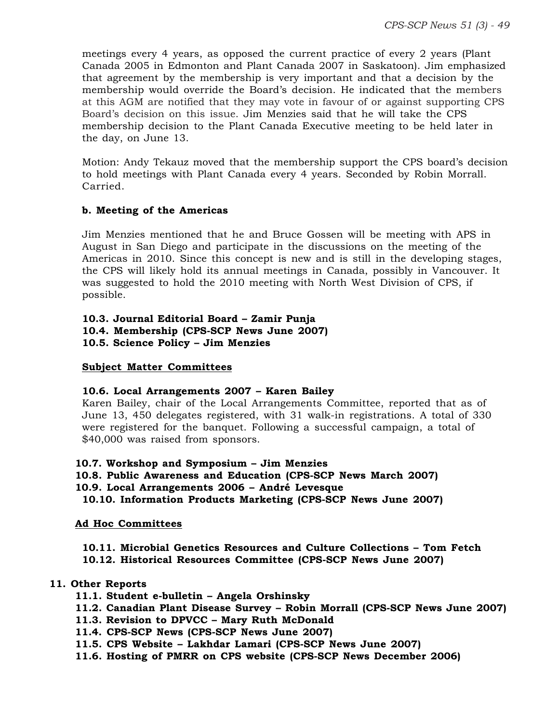meetings every 4 years, as opposed the current practice of every 2 years (Plant Canada 2005 in Edmonton and Plant Canada 2007 in Saskatoon). Jim emphasized that agreement by the membership is very important and that a decision by the membership would override the Board's decision. He indicated that the members at this AGM are notified that they may vote in favour of or against supporting CPS Board's decision on this issue. Jim Menzies said that he will take the CPS membership decision to the Plant Canada Executive meeting to be held later in the day, on June 13.

Motion: Andy Tekauz moved that the membership support the CPS board's decision to hold meetings with Plant Canada every 4 years. Seconded by Robin Morrall. Carried.

# **b. Meeting of the Americas**

Jim Menzies mentioned that he and Bruce Gossen will be meeting with APS in August in San Diego and participate in the discussions on the meeting of the Americas in 2010. Since this concept is new and is still in the developing stages, the CPS will likely hold its annual meetings in Canada, possibly in Vancouver. It was suggested to hold the 2010 meeting with North West Division of CPS, if possible.

# **10.3. Journal Editorial Board – Zamir Punja**

**10.4. Membership (CPS-SCP News June 2007)**

**10.5. Science Policy – Jim Menzies**

# **Subject Matter Committees**

# **10.6. Local Arrangements 2007 – Karen Bailey**

Karen Bailey, chair of the Local Arrangements Committee, reported that as of June 13, 450 delegates registered, with 31 walk-in registrations. A total of 330 were registered for the banquet. Following a successful campaign, a total of \$40,000 was raised from sponsors.

#### **10.7. Workshop and Symposium – Jim Menzies**

**10.8. Public Awareness and Education (CPS-SCP News March 2007)**

- **10.9. Local Arrangements 2006 André Levesque**
- **10.10. Information Products Marketing (CPS-SCP News June 2007)**

# **Ad Hoc Committees**

**10.11. Microbial Genetics Resources and Culture Collections – Tom Fetch**

**10.12. Historical Resources Committee (CPS-SCP News June 2007)**

# **11. Other Reports**

- **11.1. Student e-bulletin Angela Orshinsky**
- **11.2. Canadian Plant Disease Survey Robin Morrall (CPS-SCP News June 2007)**
- **11.3. Revision to DPVCC Mary Ruth McDonald**
- **11.4. CPS-SCP News (CPS-SCP News June 2007)**
- **11.5. CPS Website Lakhdar Lamari (CPS-SCP News June 2007)**
- **11.6. Hosting of PMRR on CPS website (CPS-SCP News December 2006)**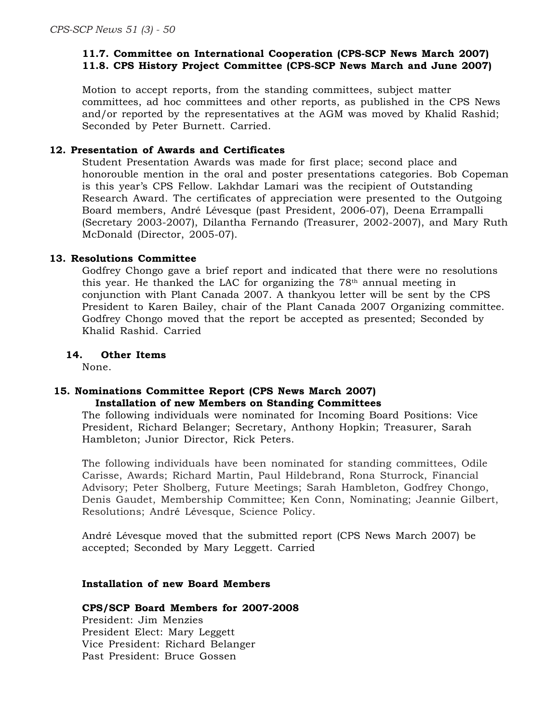# **11.7. Committee on International Cooperation (CPS-SCP News March 2007) 11.8. CPS History Project Committee (CPS-SCP News March and June 2007)**

Motion to accept reports, from the standing committees, subject matter committees, ad hoc committees and other reports, as published in the CPS News and/or reported by the representatives at the AGM was moved by Khalid Rashid; Seconded by Peter Burnett. Carried.

# **12. Presentation of Awards and Certificates**

Student Presentation Awards was made for first place; second place and honorouble mention in the oral and poster presentations categories. Bob Copeman is this year's CPS Fellow. Lakhdar Lamari was the recipient of Outstanding Research Award. The certificates of appreciation were presented to the Outgoing Board members, André Lévesque (past President, 2006-07), Deena Errampalli (Secretary 2003-2007), Dilantha Fernando (Treasurer, 2002-2007), and Mary Ruth McDonald (Director, 2005-07).

# **13. Resolutions Committee**

Godfrey Chongo gave a brief report and indicated that there were no resolutions this year. He thanked the LAC for organizing the  $78<sup>th</sup>$  annual meeting in conjunction with Plant Canada 2007. A thankyou letter will be sent by the CPS President to Karen Bailey, chair of the Plant Canada 2007 Organizing committee. Godfrey Chongo moved that the report be accepted as presented; Seconded by Khalid Rashid. Carried

# **14. Other Items**

None.

# **15. Nominations Committee Report (CPS News March 2007) Installation of new Members on Standing Committees**

The following individuals were nominated for Incoming Board Positions: Vice President, Richard Belanger; Secretary, Anthony Hopkin; Treasurer, Sarah Hambleton; Junior Director, Rick Peters.

The following individuals have been nominated for standing committees, Odile Carisse, Awards; Richard Martin, Paul Hildebrand, Rona Sturrock, Financial Advisory; Peter Sholberg, Future Meetings; Sarah Hambleton, Godfrey Chongo, Denis Gaudet, Membership Committee; Ken Conn, Nominating; Jeannie Gilbert, Resolutions; André Lévesque, Science Policy.

André Lévesque moved that the submitted report (CPS News March 2007) be accepted; Seconded by Mary Leggett. Carried

### **Installation of new Board Members**

#### **CPS/SCP Board Members for 2007-2008**

President: Jim Menzies President Elect: Mary Leggett Vice President: Richard Belanger Past President: Bruce Gossen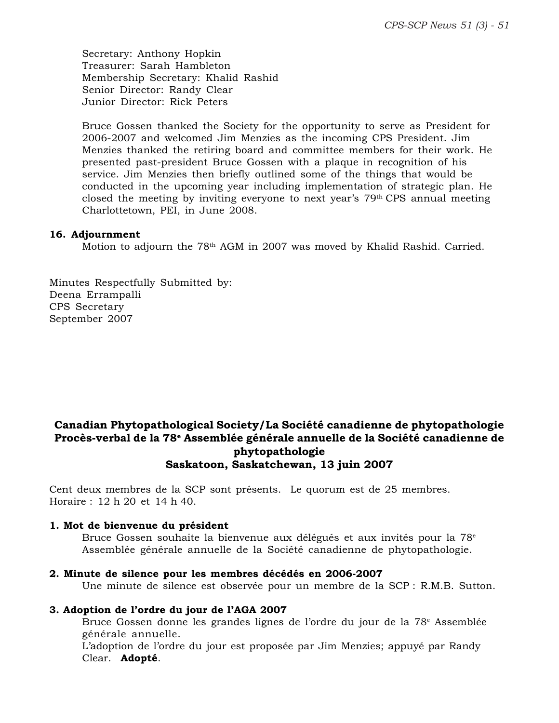Secretary: Anthony Hopkin Treasurer: Sarah Hambleton Membership Secretary: Khalid Rashid Senior Director: Randy Clear Junior Director: Rick Peters

Bruce Gossen thanked the Society for the opportunity to serve as President for 2006-2007 and welcomed Jim Menzies as the incoming CPS President. Jim Menzies thanked the retiring board and committee members for their work. He presented past-president Bruce Gossen with a plaque in recognition of his service. Jim Menzies then briefly outlined some of the things that would be conducted in the upcoming year including implementation of strategic plan. He closed the meeting by inviting everyone to next year's  $79<sup>th</sup> CPS$  annual meeting Charlottetown, PEI, in June 2008.

#### **16. Adjournment**

Motion to adjourn the 78<sup>th</sup> AGM in 2007 was moved by Khalid Rashid. Carried.

Minutes Respectfully Submitted by: Deena Errampalli CPS Secretary September 2007

# **Canadian Phytopathological Society/La Société canadienne de phytopathologie Procès-verbal de la 78e Assemblée générale annuelle de la Société canadienne de phytopathologie Saskatoon, Saskatchewan, 13 juin 2007**

Cent deux membres de la SCP sont présents. Le quorum est de 25 membres. Horaire : 12 h 20 et 14 h 40.

#### **1. Mot de bienvenue du président**

Bruce Gossen souhaite la bienvenue aux délégués et aux invités pour la 78<sup>e</sup> Assemblée générale annuelle de la Société canadienne de phytopathologie.

#### **2. Minute de silence pour les membres décédés en 2006-2007**

Une minute de silence est observée pour un membre de la SCP : R.M.B. Sutton.

#### **3. Adoption de l'ordre du jour de l'AGA 2007**

Bruce Gossen donne les grandes lignes de l'ordre du jour de la 78e Assemblée générale annuelle.

L'adoption de l'ordre du jour est proposée par Jim Menzies; appuyé par Randy Clear. **Adopté**.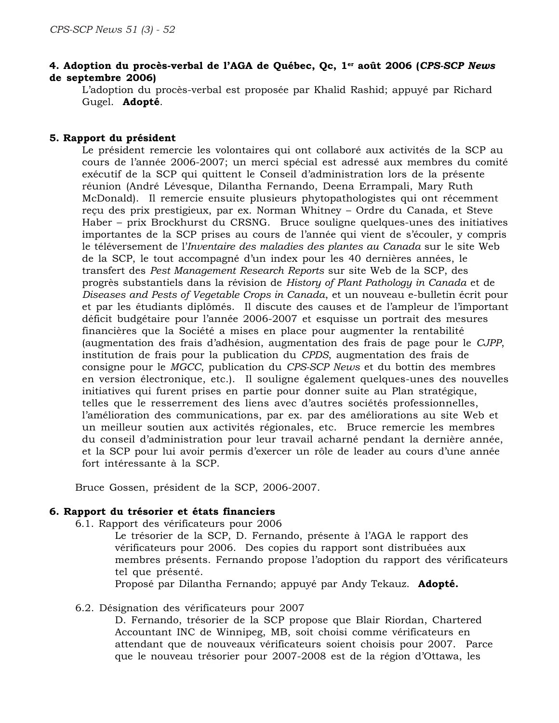# **4. Adoption du procès-verbal de l'AGA de Québec, Qc, 1er août 2006 (***CPS-SCP News* **de septembre 2006)**

L'adoption du procès-verbal est proposée par Khalid Rashid; appuyé par Richard Gugel. **Adopté**.

# **5. Rapport du président**

Le président remercie les volontaires qui ont collaboré aux activités de la SCP au cours de l'année 2006-2007; un merci spécial est adressé aux membres du comité exécutif de la SCP qui quittent le Conseil d'administration lors de la présente réunion (André Lévesque, Dilantha Fernando, Deena Errampali, Mary Ruth McDonald). Il remercie ensuite plusieurs phytopathologistes qui ont récemment reçu des prix prestigieux, par ex. Norman Whitney – Ordre du Canada, et Steve Haber – prix Brockhurst du CRSNG. Bruce souligne quelques-unes des initiatives importantes de la SCP prises au cours de l'année qui vient de s'écouler, y compris le téléversement de l'*Inventaire des maladies des plantes au Canada* sur le site Web de la SCP, le tout accompagné d'un index pour les 40 dernières années, le transfert des *Pest Management Research Reports* sur site Web de la SCP, des progrès substantiels dans la révision de *History of Plant Pathology in Canada* et de *Diseases and Pests of Vegetable Crops in Canada*, et un nouveau e-bulletin écrit pour et par les étudiants diplômés. Il discute des causes et de l'ampleur de l'important déficit budgétaire pour l'année 2006-2007 et esquisse un portrait des mesures financières que la Société a mises en place pour augmenter la rentabilité (augmentation des frais d'adhésion, augmentation des frais de page pour le *CJPP*, institution de frais pour la publication du *CPDS*, augmentation des frais de consigne pour le *MGCC*, publication du *CPS-SCP News* et du bottin des membres en version électronique, etc.). Il souligne également quelques-unes des nouvelles initiatives qui furent prises en partie pour donner suite au Plan stratégique, telles que le resserrement des liens avec d'autres sociétés professionnelles, l'amélioration des communications, par ex. par des améliorations au site Web et un meilleur soutien aux activités régionales, etc. Bruce remercie les membres du conseil d'administration pour leur travail acharné pendant la dernière année, et la SCP pour lui avoir permis d'exercer un rôle de leader au cours d'une année fort intéressante à la SCP.

Bruce Gossen, président de la SCP, 2006-2007.

# **6. Rapport du trésorier et états financiers**

6.1. Rapport des vérificateurs pour 2006

Le trésorier de la SCP, D. Fernando, présente à l'AGA le rapport des vérificateurs pour 2006. Des copies du rapport sont distribuées aux membres présents. Fernando propose l'adoption du rapport des vérificateurs tel que présenté.

Proposé par Dilantha Fernando; appuyé par Andy Tekauz. **Adopté.**

# 6.2. Désignation des vérificateurs pour 2007

D. Fernando, trésorier de la SCP propose que Blair Riordan, Chartered Accountant INC de Winnipeg, MB, soit choisi comme vérificateurs en attendant que de nouveaux vérificateurs soient choisis pour 2007. Parce que le nouveau trésorier pour 2007-2008 est de la région d'Ottawa, les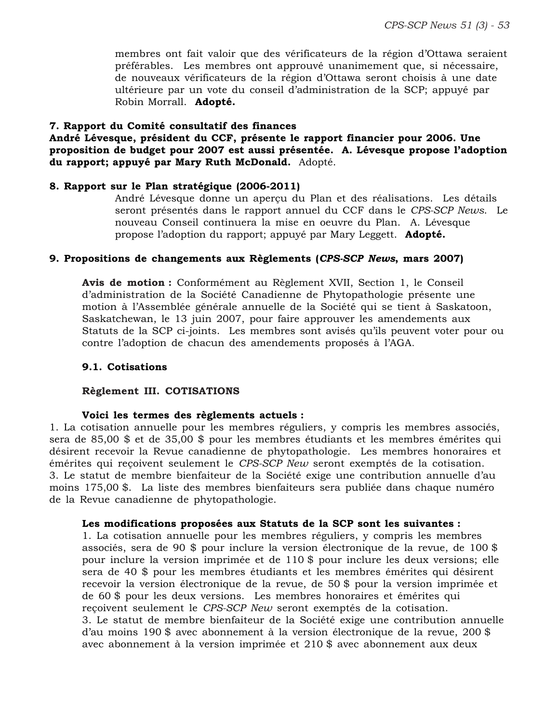membres ont fait valoir que des vérificateurs de la région d'Ottawa seraient préférables. Les membres ont approuvé unanimement que, si nécessaire, de nouveaux vérificateurs de la région d'Ottawa seront choisis à une date ultérieure par un vote du conseil d'administration de la SCP; appuyé par Robin Morrall. **Adopté.**

### **7. Rapport du Comité consultatif des finances**

**André Lévesque, président du CCF, présente le rapport financier pour 2006. Une proposition de budget pour 2007 est aussi présentée. A. Lévesque propose l'adoption du rapport; appuyé par Mary Ruth McDonald.** Adopté.

# **8. Rapport sur le Plan stratégique (2006-2011)**

André Lévesque donne un aperçu du Plan et des réalisations. Les détails seront présentés dans le rapport annuel du CCF dans le *CPS-SCP News*. Le nouveau Conseil continuera la mise en oeuvre du Plan. A. Lévesque propose l'adoption du rapport; appuyé par Mary Leggett. **Adopté.**

# **9. Propositions de changements aux Règlements (***CPS-SCP News***, mars 2007)**

**Avis de motion :** Conformément au Règlement XVII, Section 1, le Conseil d'administration de la Société Canadienne de Phytopathologie présente une motion à l'Assemblée générale annuelle de la Société qui se tient à Saskatoon, Saskatchewan, le 13 juin 2007, pour faire approuver les amendements aux Statuts de la SCP ci-joints. Les membres sont avisés qu'ils peuvent voter pour ou contre l'adoption de chacun des amendements proposés à l'AGA.

### **9.1. Cotisations**

#### **Règlement III. COTISATIONS**

#### **Voici les termes des règlements actuels :**

1. La cotisation annuelle pour les membres réguliers, y compris les membres associés, sera de 85,00 \$ et de 35,00 \$ pour les membres étudiants et les membres émérites qui désirent recevoir la Revue canadienne de phytopathologie. Les membres honoraires et émérites qui reçoivent seulement le *CPS-SCP New* seront exemptés de la cotisation. 3. Le statut de membre bienfaiteur de la Société exige une contribution annuelle d'au moins 175,00 \$. La liste des membres bienfaiteurs sera publiée dans chaque numéro de la Revue canadienne de phytopathologie.

#### **Les modifications proposées aux Statuts de la SCP sont les suivantes :**

1. La cotisation annuelle pour les membres réguliers, y compris les membres associés, sera de 90 \$ pour inclure la version électronique de la revue, de 100 \$ pour inclure la version imprimée et de 110 \$ pour inclure les deux versions; elle sera de 40 \$ pour les membres étudiants et les membres émérites qui désirent recevoir la version électronique de la revue, de 50 \$ pour la version imprimée et de 60 \$ pour les deux versions. Les membres honoraires et émérites qui reçoivent seulement le *CPS-SCP New* seront exemptés de la cotisation. 3. Le statut de membre bienfaiteur de la Société exige une contribution annuelle d'au moins 190 \$ avec abonnement à la version électronique de la revue, 200 \$ avec abonnement à la version imprimée et 210 \$ avec abonnement aux deux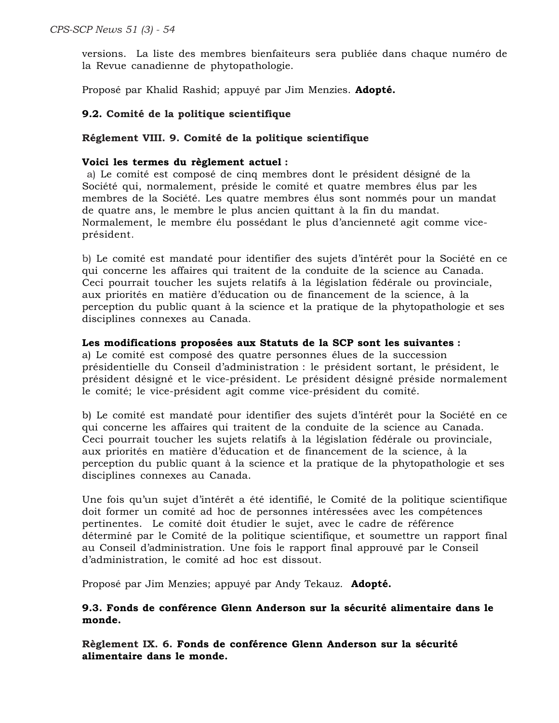versions. La liste des membres bienfaiteurs sera publiée dans chaque numéro de la Revue canadienne de phytopathologie.

Proposé par Khalid Rashid; appuyé par Jim Menzies. **Adopté.**

# **9.2. Comité de la politique scientifique**

# **Réglement VIII. 9. Comité de la politique scientifique**

#### **Voici les termes du règlement actuel :**

 a) Le comité est composé de cinq membres dont le président désigné de la Société qui, normalement, préside le comité et quatre membres élus par les membres de la Société. Les quatre membres élus sont nommés pour un mandat de quatre ans, le membre le plus ancien quittant à la fin du mandat. Normalement, le membre élu possédant le plus d'ancienneté agit comme viceprésident.

b) Le comité est mandaté pour identifier des sujets d'intérêt pour la Société en ce qui concerne les affaires qui traitent de la conduite de la science au Canada. Ceci pourrait toucher les sujets relatifs à la législation fédérale ou provinciale, aux priorités en matière d'éducation ou de financement de la science, à la perception du public quant à la science et la pratique de la phytopathologie et ses disciplines connexes au Canada.

# **Les modifications proposées aux Statuts de la SCP sont les suivantes :**

a) Le comité est composé des quatre personnes élues de la succession présidentielle du Conseil d'administration : le président sortant, le président, le président désigné et le vice-président. Le président désigné préside normalement le comité; le vice-président agit comme vice-président du comité.

b) Le comité est mandaté pour identifier des sujets d'intérêt pour la Société en ce qui concerne les affaires qui traitent de la conduite de la science au Canada. Ceci pourrait toucher les sujets relatifs à la législation fédérale ou provinciale, aux priorités en matière d'éducation et de financement de la science, à la perception du public quant à la science et la pratique de la phytopathologie et ses disciplines connexes au Canada.

Une fois qu'un sujet d'intérêt a été identifié, le Comité de la politique scientifique doit former un comité ad hoc de personnes intéressées avec les compétences pertinentes. Le comité doit étudier le sujet, avec le cadre de référence déterminé par le Comité de la politique scientifique, et soumettre un rapport final au Conseil d'administration. Une fois le rapport final approuvé par le Conseil d'administration, le comité ad hoc est dissout.

Proposé par Jim Menzies; appuyé par Andy Tekauz. **Adopté.**

# **9.3. Fonds de conférence Glenn Anderson sur la sécurité alimentaire dans le monde.**

**Règlement IX. 6. Fonds de conférence Glenn Anderson sur la sécurité alimentaire dans le monde.**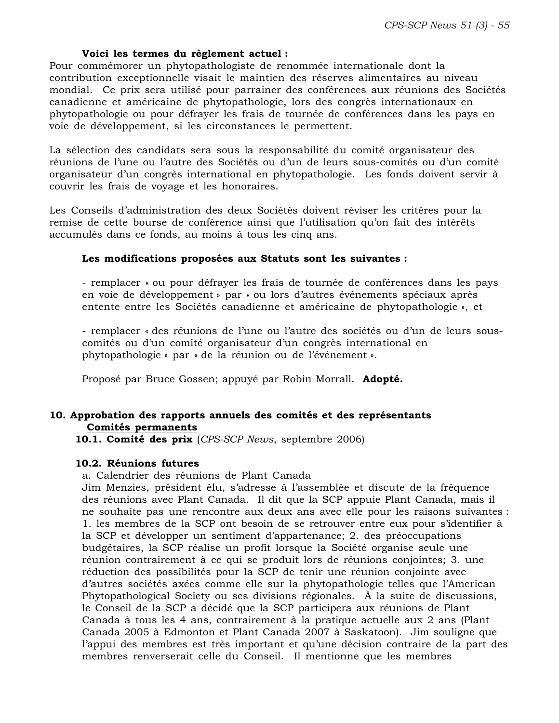#### **Voici les termes du règlement actuel :**

Pour commémorer un phytopathologiste de renommée internationale dont la contribution exceptionnelle visait le maintien des réserves alimentaires au niveau mondial. Ce prix sera utilisé pour parrainer des conférences aux réunions des Sociétés canadienne et américaine de phytopathologie, lors des congrès internationaux en phytopathologie ou pour défrayer les frais de tournée de conférences dans les pays en voie de développement, si les circonstances le permettent.

La sélection des candidats sera sous la responsabilité du comité organisateur des réunions de l'une ou l'autre des Sociétés ou d'un de leurs sous-comités ou d'un comité organisateur d'un congrès international en phytopathologie. Les fonds doivent servir à couvrir les frais de voyage et les honoraires.

Les Conseils d'administration des deux Sociétés doivent réviser les critères pour la remise de cette bourse de conférence ainsi que l'utilisation qu'on fait des intérêts accumulés dans ce fonds, au moins à tous les cinq ans.

#### **Les modifications proposées aux Statuts sont les suivantes :**

- remplacer « ou pour défrayer les frais de tournée de conférences dans les pays en voie de développement » par « ou lors d'autres événements spéciaux après entente entre les Sociétés canadienne et américaine de phytopathologie », et

- remplacer « des réunions de l'une ou l'autre des sociétés ou d'un de leurs souscomités ou d'un comité organisateur d'un congrès international en phytopathologie » par « de la réunion ou de l'événement ».

Proposé par Bruce Gossen; appuyé par Robin Morrall. **Adopté.**

#### **10. Approbation des rapports annuels des comités et des représentants Comités permanents**

**10.1. Comité des prix** (*CPS-SCP News*, septembre 2006)

#### **10.2. Réunions futures**

a. Calendrier des réunions de Plant Canada

Jim Menzies, président élu, s'adresse à l'assemblée et discute de la fréquence des réunions avec Plant Canada. Il dit que la SCP appuie Plant Canada, mais il ne souhaite pas une rencontre aux deux ans avec elle pour les raisons suivantes : 1. les membres de la SCP ont besoin de se retrouver entre eux pour s'identifier à la SCP et développer un sentiment d'appartenance; 2. des préoccupations budgétaires, la SCP réalise un profit lorsque la Société organise seule une réunion contrairement à ce qui se produit lors de réunions conjointes; 3. une réduction des possibilités pour la SCP de tenir une réunion conjointe avec d'autres sociétés axées comme elle sur la phytopathologie telles que l'American Phytopathological Society ou ses divisions régionales. À la suite de discussions, le Conseil de la SCP a décidé que la SCP participera aux réunions de Plant Canada à tous les 4 ans, contrairement à la pratique actuelle aux 2 ans (Plant Canada 2005 à Edmonton et Plant Canada 2007 à Saskatoon). Jim souligne que l'appui des membres est très important et qu'une décision contraire de la part des membres renverserait celle du Conseil. Il mentionne que les membres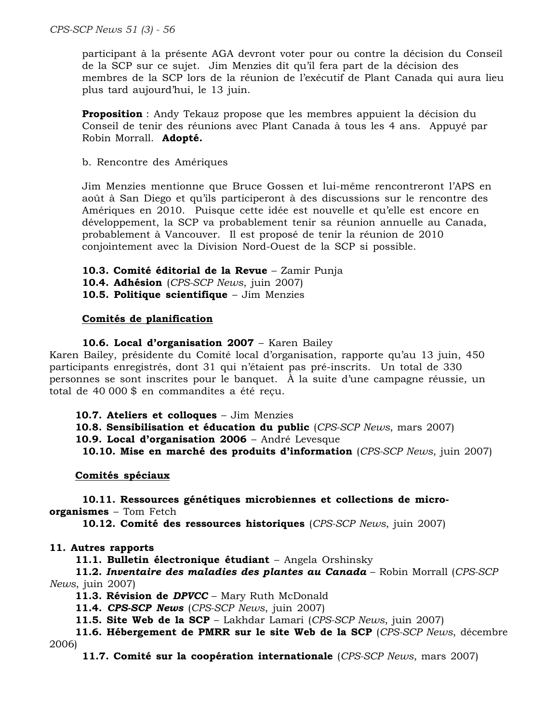*CPS-SCP News 51 (3) - 56*

participant à la présente AGA devront voter pour ou contre la décision du Conseil de la SCP sur ce sujet. Jim Menzies dit qu'il fera part de la décision des membres de la SCP lors de la réunion de l'exécutif de Plant Canada qui aura lieu plus tard aujourd'hui, le 13 juin.

**Proposition** : Andy Tekauz propose que les membres appuient la décision du Conseil de tenir des réunions avec Plant Canada à tous les 4 ans. Appuyé par Robin Morrall. **Adopté.**

b. Rencontre des Amériques

Jim Menzies mentionne que Bruce Gossen et lui-même rencontreront l'APS en août à San Diego et qu'ils participeront à des discussions sur le rencontre des Amériques en 2010. Puisque cette idée est nouvelle et qu'elle est encore en développement, la SCP va probablement tenir sa réunion annuelle au Canada, probablement à Vancouver. Il est proposé de tenir la réunion de 2010 conjointement avec la Division Nord-Ouest de la SCP si possible.

**10.3. Comité éditorial de la Revue** – Zamir Punja

**10.4. Adhésion** (*CPS-SCP News*, juin 2007)

**10.5. Politique scientifique** – Jim Menzies

# **Comités de planification**

#### **10.6. Local d'organisation 2007** – Karen Bailey

Karen Bailey, présidente du Comité local d'organisation, rapporte qu'au 13 juin, 450 participants enregistrés, dont 31 qui n'étaient pas pré-inscrits. Un total de 330 personnes se sont inscrites pour le banquet. À la suite d'une campagne réussie, un total de 40 000 \$ en commandites a été reçu.

**10.7. Ateliers et colloques** – Jim Menzies

**10.8. Sensibilisation et éducation du public** (*CPS-SCP News*, mars 2007)

**10.9. Local d'organisation 2006** – André Levesque

**10.10. Mise en marché des produits d'information** (*CPS-SCP News*, juin 2007)

**Comités spéciaux**

**10.11. Ressources génétiques microbiennes et collections de microorganismes** – Tom Fetch

**10.12. Comité des ressources historiques** (*CPS-SCP News*, juin 2007)

#### **11. Autres rapports**

**11.1. Bulletin électronique étudiant** – Angela Orshinsky

**11.2.** *Inventaire des maladies des plantes au Canada* – Robin Morrall (*CPS-SCP News*, juin 2007)

**11.3. Révision de** *DPVCC* – Mary Ruth McDonald

**11.4.** *CPS-SCP News* (*CPS-SCP News*, juin 2007)

**11.5. Site Web de la SCP** – Lakhdar Lamari (*CPS-SCP News*, juin 2007)

**11.6. Hébergement de PMRR sur le site Web de la SCP** (*CPS-SCP News*, décembre 2006)

**11.7. Comité sur la coopération internationale** (*CPS-SCP News*, mars 2007)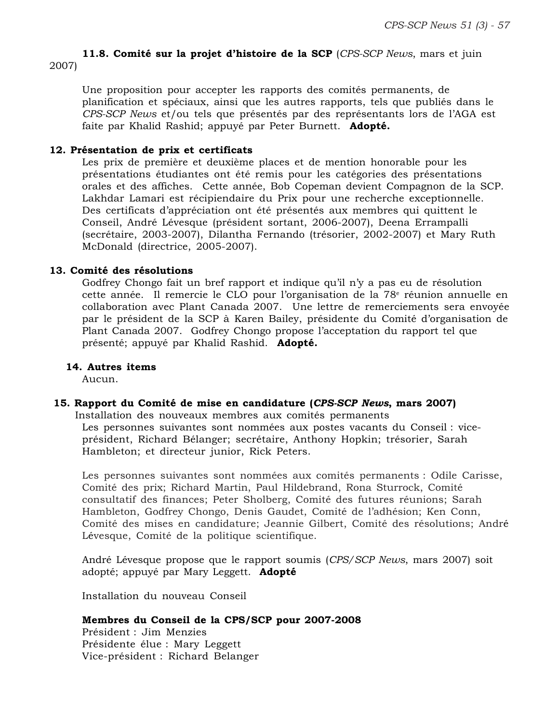# **11.8. Comité sur la projet d'histoire de la SCP** (*CPS-SCP News*, mars et juin 2007)

Une proposition pour accepter les rapports des comités permanents, de planification et spéciaux, ainsi que les autres rapports, tels que publiés dans le *CPS-SCP News* et/ou tels que présentés par des représentants lors de l'AGA est faite par Khalid Rashid; appuyé par Peter Burnett. **Adopté.**

# **12. Présentation de prix et certificats**

Les prix de première et deuxième places et de mention honorable pour les présentations étudiantes ont été remis pour les catégories des présentations orales et des affiches. Cette année, Bob Copeman devient Compagnon de la SCP. Lakhdar Lamari est récipiendaire du Prix pour une recherche exceptionnelle. Des certificats d'appréciation ont été présentés aux membres qui quittent le Conseil, André Lévesque (président sortant, 2006-2007), Deena Errampalli (secrétaire, 2003-2007), Dilantha Fernando (trésorier, 2002-2007) et Mary Ruth McDonald (directrice, 2005-2007).

# **13. Comité des résolutions**

Godfrey Chongo fait un bref rapport et indique qu'il n'y a pas eu de résolution cette année. Il remercie le CLO pour l'organisation de la 78<sup>e</sup> réunion annuelle en collaboration avec Plant Canada 2007. Une lettre de remerciements sera envoyée par le président de la SCP à Karen Bailey, présidente du Comité d'organisation de Plant Canada 2007. Godfrey Chongo propose l'acceptation du rapport tel que présenté; appuyé par Khalid Rashid. **Adopté.**

# **14. Autres items**

Aucun.

### **15. Rapport du Comité de mise en candidature (***CPS-SCP News***, mars 2007)**

Installation des nouveaux membres aux comités permanents Les personnes suivantes sont nommées aux postes vacants du Conseil : viceprésident, Richard Bélanger; secrétaire, Anthony Hopkin; trésorier, Sarah Hambleton; et directeur junior, Rick Peters.

Les personnes suivantes sont nommées aux comités permanents : Odile Carisse, Comité des prix; Richard Martin, Paul Hildebrand, Rona Sturrock, Comité consultatif des finances; Peter Sholberg, Comité des futures réunions; Sarah Hambleton, Godfrey Chongo, Denis Gaudet, Comité de l'adhésion; Ken Conn, Comité des mises en candidature; Jeannie Gilbert, Comité des résolutions; André Lévesque, Comité de la politique scientifique.

André Lévesque propose que le rapport soumis (*CPS/SCP News*, mars 2007) soit adopté; appuyé par Mary Leggett. **Adopté**

Installation du nouveau Conseil

# **Membres du Conseil de la CPS/SCP pour 2007-2008**

Président : Jim Menzies Présidente élue : Mary Leggett Vice-président : Richard Belanger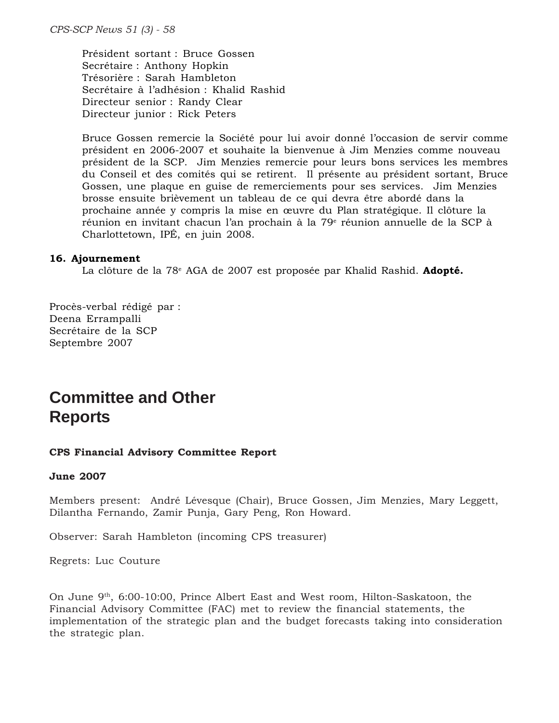*CPS-SCP News 51 (3) - 58*

Président sortant : Bruce Gossen Secrétaire : Anthony Hopkin Trésorière : Sarah Hambleton Secrétaire à l'adhésion : Khalid Rashid Directeur senior : Randy Clear Directeur junior : Rick Peters

Bruce Gossen remercie la Société pour lui avoir donné l'occasion de servir comme président en 2006-2007 et souhaite la bienvenue à Jim Menzies comme nouveau président de la SCP. Jim Menzies remercie pour leurs bons services les membres du Conseil et des comités qui se retirent. Il présente au président sortant, Bruce Gossen, une plaque en guise de remerciements pour ses services. Jim Menzies brosse ensuite brièvement un tableau de ce qui devra être abordé dans la prochaine année y compris la mise en œuvre du Plan stratégique. Il clôture la réunion en invitant chacun l'an prochain à la 79<sup>e</sup> réunion annuelle de la SCP à Charlottetown, IPÉ, en juin 2008.

#### **16. Ajournement**

La clôture de la 78<sup>e</sup> AGA de 2007 est proposée par Khalid Rashid. **Adopté.** 

Procès-verbal rédigé par : Deena Errampalli Secrétaire de la SCP Septembre 2007

# **Committee and Other Reports**

#### **CPS Financial Advisory Committee Report**

#### **June 2007**

Members present: André Lévesque (Chair), Bruce Gossen, Jim Menzies, Mary Leggett, Dilantha Fernando, Zamir Punja, Gary Peng, Ron Howard.

Observer: Sarah Hambleton (incoming CPS treasurer)

Regrets: Luc Couture

On June 9<sup>th</sup>, 6:00-10:00, Prince Albert East and West room, Hilton-Saskatoon, the Financial Advisory Committee (FAC) met to review the financial statements, the implementation of the strategic plan and the budget forecasts taking into consideration the strategic plan.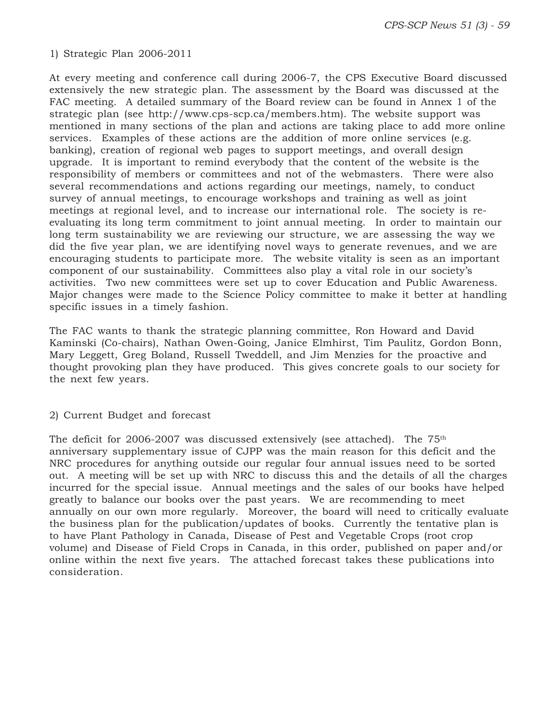### 1) Strategic Plan 2006-2011

At every meeting and conference call during 2006-7, the CPS Executive Board discussed extensively the new strategic plan. The assessment by the Board was discussed at the FAC meeting. A detailed summary of the Board review can be found in Annex 1 of the strategic plan (see http://www.cps-scp.ca/members.htm). The website support was mentioned in many sections of the plan and actions are taking place to add more online services. Examples of these actions are the addition of more online services (e.g. banking), creation of regional web pages to support meetings, and overall design upgrade. It is important to remind everybody that the content of the website is the responsibility of members or committees and not of the webmasters. There were also several recommendations and actions regarding our meetings, namely, to conduct survey of annual meetings, to encourage workshops and training as well as joint meetings at regional level, and to increase our international role. The society is reevaluating its long term commitment to joint annual meeting. In order to maintain our long term sustainability we are reviewing our structure, we are assessing the way we did the five year plan, we are identifying novel ways to generate revenues, and we are encouraging students to participate more. The website vitality is seen as an important component of our sustainability. Committees also play a vital role in our society's activities. Two new committees were set up to cover Education and Public Awareness. Major changes were made to the Science Policy committee to make it better at handling specific issues in a timely fashion.

The FAC wants to thank the strategic planning committee, Ron Howard and David Kaminski (Co-chairs), Nathan Owen-Going, Janice Elmhirst, Tim Paulitz, Gordon Bonn, Mary Leggett, Greg Boland, Russell Tweddell, and Jim Menzies for the proactive and thought provoking plan they have produced. This gives concrete goals to our society for the next few years.

#### 2) Current Budget and forecast

The deficit for 2006-2007 was discussed extensively (see attached). The  $75<sup>th</sup>$ anniversary supplementary issue of CJPP was the main reason for this deficit and the NRC procedures for anything outside our regular four annual issues need to be sorted out. A meeting will be set up with NRC to discuss this and the details of all the charges incurred for the special issue. Annual meetings and the sales of our books have helped greatly to balance our books over the past years. We are recommending to meet annually on our own more regularly. Moreover, the board will need to critically evaluate the business plan for the publication/updates of books. Currently the tentative plan is to have Plant Pathology in Canada, Disease of Pest and Vegetable Crops (root crop volume) and Disease of Field Crops in Canada, in this order, published on paper and/or online within the next five years. The attached forecast takes these publications into consideration.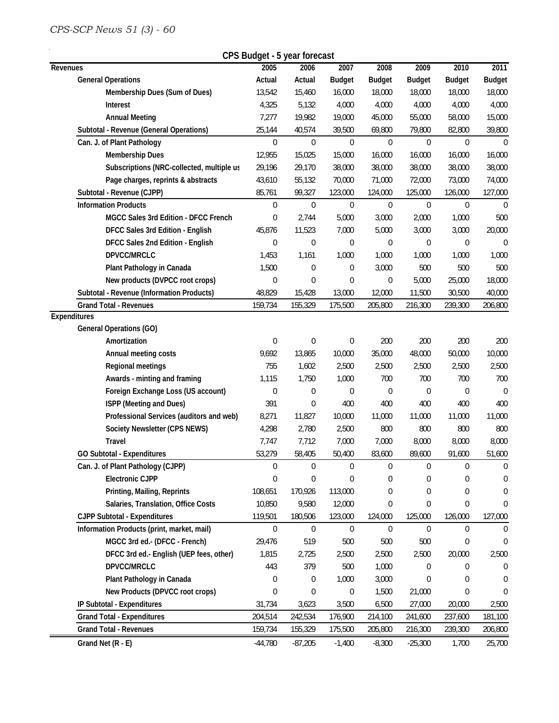# *CPS-SCP News 51 (3) - 60*

 $\hat{\mathcal{L}}$ 

| CPS Budget - 5 year forecast               |                  |                |                  |                  |                  |                |               |  |  |
|--------------------------------------------|------------------|----------------|------------------|------------------|------------------|----------------|---------------|--|--|
| Revenues                                   | 2005             | 2006           | 2007             | 2008             | 2009             | 2010           | 2011          |  |  |
| <b>General Operations</b>                  | Actual           | Actual         | <b>Budget</b>    | <b>Budget</b>    | <b>Budget</b>    | <b>Budget</b>  | <b>Budget</b> |  |  |
| Membership Dues (Sum of Dues)              | 13,542           | 15,460         | 16,000           | 18,000           | 18,000           | 18,000         | 18,000        |  |  |
| Interest                                   | 4,325            | 5,132          | 4,000            | 4,000            | 4,000            | 4,000          | 4,000         |  |  |
| <b>Annual Meeting</b>                      | 7,277            | 19,982         | 19,000           | 45,000           | 55,000           | 58,000         | 15,000        |  |  |
| Subtotal - Revenue (General Operations)    | 25,144           | 40,574         | 39,500           | 69,800           | 79,800           | 82,800         | 39,800        |  |  |
| Can. J. of Plant Pathology                 | $\overline{0}$   | $\overline{0}$ | $\mathbf 0$      | $\overline{0}$   | $\mathbf 0$      | 0              | $\theta$      |  |  |
| <b>Membership Dues</b>                     | 12,955           | 15,025         | 15,000           | 16,000           | 16,000           | 16,000         | 16,000        |  |  |
| Subscriptions (NRC-collected, multiple us  | 29,196           | 29,170         | 38,000           | 38,000           | 38,000           | 38,000         | 38,000        |  |  |
| Page charges, reprints & abstracts         | 43,610           | 55,132         | 70,000           | 71,000           | 72,000           | 73,000         | 74,000        |  |  |
| Subtotal - Revenue (CJPP)                  | 85,761           | 99,327         | 123,000          | 124,000          | 125,000          | 126,000        | 127,000       |  |  |
| <b>Information Products</b>                | $\boldsymbol{0}$ | 0              | $\mathbf 0$      | $\mathbf 0$      | $\mathbf 0$      | $\overline{0}$ | $\theta$      |  |  |
| MGCC Sales 3rd Edition - DFCC French       | 0                | 2,744          | 5,000            | 3,000            | 2,000            | 1,000          | 500           |  |  |
| DFCC Sales 3rd Edition - English           | 45,876           | 11,523         | 7,000            | 5,000            | 3,000            | 3,000          | 20,000        |  |  |
| DFCC Sales 2nd Edition - English           | 0                | 0              | 0                | $\boldsymbol{0}$ | 0                | 0              | $\mathbf 0$   |  |  |
| DPVCC/MRCLC                                | 1,453            | 1,161          | 1,000            | 1,000            | 1,000            | 1,000          | 1,000         |  |  |
| Plant Pathology in Canada                  | 1,500            | 0              | 0                | 3,000            | 500              | 500            | 500           |  |  |
| New products (DVPCC root crops)            | 0                | 0              | $\overline{0}$   | 0                | 5,000            | 25,000         | 18,000        |  |  |
| Subtotal - Revenue (Information Products)  | 48,829           | 15,428         | 13,000           | 12,000           | 11,500           | 30,500         | 40,000        |  |  |
| <b>Grand Total - Revenues</b>              | 159,734          | 155,329        | 175,500          | 205,800          | 216,300          | 239,300        | 206,800       |  |  |
| <b>Expenditures</b>                        |                  |                |                  |                  |                  |                |               |  |  |
| <b>General Operations (GO)</b>             |                  |                |                  |                  |                  |                |               |  |  |
| Amortization                               | 0                | 0              | 0                | 200              | 200              | 200            | 200           |  |  |
| Annual meeting costs                       | 9,692            | 13,865         | 10,000           | 35,000           | 48,000           | 50,000         | 10,000        |  |  |
| Regional meetings                          | 755              | 1,602          | 2,500            | 2,500            | 2,500            | 2,500          | 2,500         |  |  |
| Awards - minting and framing               | 1,115            | 1,750          | 1,000            | 700              | 700              | 700            | 700           |  |  |
| Foreign Exchange Loss (US account)         | 0                | 0              | $\boldsymbol{0}$ | 0                | $\boldsymbol{0}$ | 0              | $\mathbf 0$   |  |  |
| ISPP (Meeting and Dues)                    | 391              | 0              | 400              | 400              | 400              | 400            | 400           |  |  |
| Professional Services (auditors and web)   | 8,271            | 11,827         | 10,000           | 11,000           | 11,000           | 11,000         | 11,000        |  |  |
| Society Newsletter (CPS NEWS)              | 4,298            | 2,780          | 2,500            | 800              | 800              | 800            | 800           |  |  |
| Travel                                     | 7,747            | 7,712          | 7,000            | 7,000            | 8,000            | 8,000          | 8,000         |  |  |
| <b>GO Subtotal - Expenditures</b>          | 53,279           | 58,405         | 50,400           | 83,600           | 89,600           | 91.600         | 51,600        |  |  |
| Can. J. of Plant Pathology (CJPP)          | 0                | 0              | $\overline{0}$   | 0                | $\boldsymbol{0}$ | 0              | $\mathbf 0$   |  |  |
| <b>Electronic CJPP</b>                     | 0                | 0              | 0                | 0                | 0                | 0              | $\Omega$      |  |  |
| Printing, Mailing, Reprints                | 108,651          | 170,926        | 113,000          | 0                | 0                | 0              | $\Omega$      |  |  |
| Salaries, Translation, Office Costs        | 10,850           | 9,580          | 12,000           | 0                | 0                | 0              | $\theta$      |  |  |
| <b>CJPP Subtotal - Expenditures</b>        | 119,501          | 180,506        | 123,000          | 124,000          | 125,000          | 126,000        | 127,000       |  |  |
| Information Products (print, market, mail) | $\mathbf 0$      | 0              | $\mathbf 0$      | 0                | 0                | 0              | $\Omega$      |  |  |
| MGCC 3rd ed.- (DFCC - French)              | 29,476           | 519            | 500              | 500              | 500              | 0              | $\mathbf 0$   |  |  |
| DFCC 3rd ed.- English (UEP fees, other)    | 1,815            | 2,725          | 2,500            | 2,500            | 2,500            | 20,000         | 2,500         |  |  |
| DPVCC/MRCLC                                | 443              | 379            | 500              | 1,000            | 0                | 0              | $\Omega$      |  |  |
| Plant Pathology in Canada                  | 0                | 0              | 1,000            | 3,000            | $\mathbf{0}$     | 0              | $\Omega$      |  |  |
| New Products (DPVCC root crops)            | $\Omega$         | 0              | 0                | 1,500            | 21,000           | 0              | $\theta$      |  |  |
| IP Subtotal - Expenditures                 | 31,734           | 3,623          | 3,500            | 6,500            | 27,000           | 20,000         | 2,500         |  |  |
| <b>Grand Total - Expenditures</b>          | 204,514          | 242,534        | 176,900          | 214,100          | 241,600          | 237,600        | 181,100       |  |  |
| <b>Grand Total - Revenues</b>              | 159,734          | 155,329        | 175,500          | 205,800          | 216,300          | 239,300        | 206,800       |  |  |
| Grand Net (R - E)                          | $-44,780$        | $-87,205$      | $-1,400$         | $-8,300$         | $-25,300$        | 1,700          | 25,700        |  |  |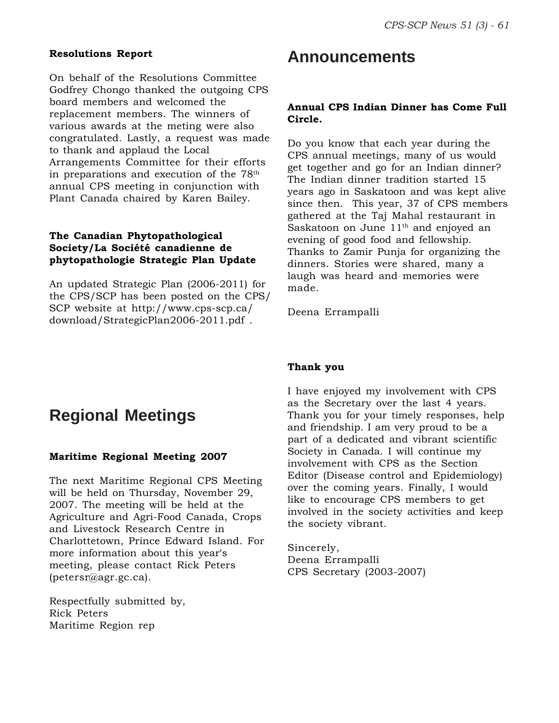#### **Resolutions Report**

On behalf of the Resolutions Committee Godfrey Chongo thanked the outgoing CPS board members and welcomed the replacement members. The winners of various awards at the meting were also congratulated. Lastly, a request was made to thank and applaud the Local Arrangements Committee for their efforts in preparations and execution of the  $78<sup>th</sup>$ annual CPS meeting in conjunction with Plant Canada chaired by Karen Bailey.

# **The Canadian Phytopathological Society/La Société canadienne de phytopathologie Strategic Plan Update**

An updated Strategic Plan (2006-2011) for the CPS/SCP has been posted on the CPS/ SCP website at http://www.cps-scp.ca/ download/StrategicPlan2006-2011.pdf .

# **Announcements**

# **Annual CPS Indian Dinner has Come Full Circle.**

Do you know that each year during the CPS annual meetings, many of us would get together and go for an Indian dinner? The Indian dinner tradition started 15 years ago in Saskatoon and was kept alive since then. This year, 37 of CPS members gathered at the Taj Mahal restaurant in Saskatoon on June  $11<sup>th</sup>$  and enjoyed an evening of good food and fellowship. Thanks to Zamir Punja for organizing the dinners. Stories were shared, many a laugh was heard and memories were made.

Deena Errampalli

# **Thank you**

I have enjoyed my involvement with CPS as the Secretary over the last 4 years. Thank you for your timely responses, help and friendship. I am very proud to be a part of a dedicated and vibrant scientific Society in Canada. I will continue my involvement with CPS as the Section Editor (Disease control and Epidemiology) over the coming years. Finally, I would like to encourage CPS members to get involved in the society activities and keep the society vibrant.

Sincerely, Deena Errampalli CPS Secretary (2003-2007)

# **Regional Meetings**

#### **Maritime Regional Meeting 2007**

The next Maritime Regional CPS Meeting will be held on Thursday, November 29, 2007. The meeting will be held at the Agriculture and Agri-Food Canada, Crops and Livestock Research Centre in Charlottetown, Prince Edward Island. For more information about this year's meeting, please contact Rick Peters (petersr@agr.gc.ca).

Respectfully submitted by, Rick Peters Maritime Region rep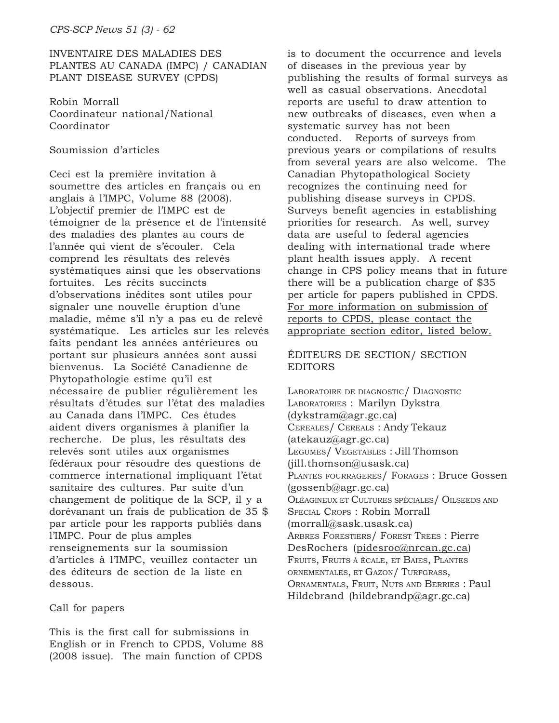# INVENTAIRE DES MALADIES DES PLANTES AU CANADA (IMPC) / CANADIAN PLANT DISEASE SURVEY (CPDS)

Robin Morrall Coordinateur national/National Coordinator

# Soumission d'articles

Ceci est la première invitation à soumettre des articles en français ou en anglais à l'IMPC, Volume 88 (2008). L'objectif premier de l'IMPC est de témoigner de la présence et de l'intensité des maladies des plantes au cours de l'année qui vient de s'écouler. Cela comprend les résultats des relevés systématiques ainsi que les observations fortuites. Les récits succincts d'observations inédites sont utiles pour signaler une nouvelle éruption d'une maladie, même s'il n'y a pas eu de relevé systématique. Les articles sur les relevés faits pendant les années antérieures ou portant sur plusieurs années sont aussi bienvenus. La Société Canadienne de Phytopathologie estime qu'il est nécessaire de publier régulièrement les résultats d'études sur l'état des maladies au Canada dans l'IMPC. Ces études aident divers organismes à planifier la recherche. De plus, les résultats des relevés sont utiles aux organismes fédéraux pour résoudre des questions de commerce international impliquant l'état sanitaire des cultures. Par suite d'un changement de politique de la SCP, il y a dorévanant un frais de publication de 35 \$ par article pour les rapports publiés dans l'IMPC. Pour de plus amples renseignements sur la soumission d'articles à l'IMPC, veuillez contacter un des éditeurs de section de la liste en dessous.

# Call for papers

This is the first call for submissions in English or in French to CPDS, Volume 88 (2008 issue). The main function of CPDS

is to document the occurrence and levels of diseases in the previous year by publishing the results of formal surveys as well as casual observations. Anecdotal reports are useful to draw attention to new outbreaks of diseases, even when a systematic survey has not been conducted. Reports of surveys from previous years or compilations of results from several years are also welcome. The Canadian Phytopathological Society recognizes the continuing need for publishing disease surveys in CPDS. Surveys benefit agencies in establishing priorities for research. As well, survey data are useful to federal agencies dealing with international trade where plant health issues apply. A recent change in CPS policy means that in future there will be a publication charge of \$35 per article for papers published in CPDS. For more information on submission of reports to CPDS, please contact the appropriate section editor, listed below.

# ÉDITEURS DE SECTION/ SECTION **EDITORS**

LABORATOIRE DE DIAGNOSTIC/ DIAGNOSTIC LABORATORIES : Marilyn Dykstra (dykstram@agr.gc.ca) CEREALES/ CEREALS : Andy Tekauz (atekauz@agr.gc.ca) LEGUMES/ VEGETABLES : Jill Thomson (jill.thomson@usask.ca) PLANTES FOURRAGERES/ FORAGES : Bruce Gossen (gossenb@agr.gc.ca) OLÉAGINEUX ET CULTURES SPÉCIALES/ OILSEEDS AND SPECIAL CROPS : Robin Morrall (morrall@sask.usask.ca) ARBRES FORESTIERS/ FOREST TREES : Pierre DesRochers (pidesroc@nrcan.gc.ca) FRUITS, FRUITS À ÉCALE, ET BAIES, PLANTES ORNEMENTALES, ET GAZON/ TURFGRASS, ORNAMENTALS, FRUIT, NUTS AND BERRIES : Paul Hildebrand (hildebrandp@agr.gc.ca)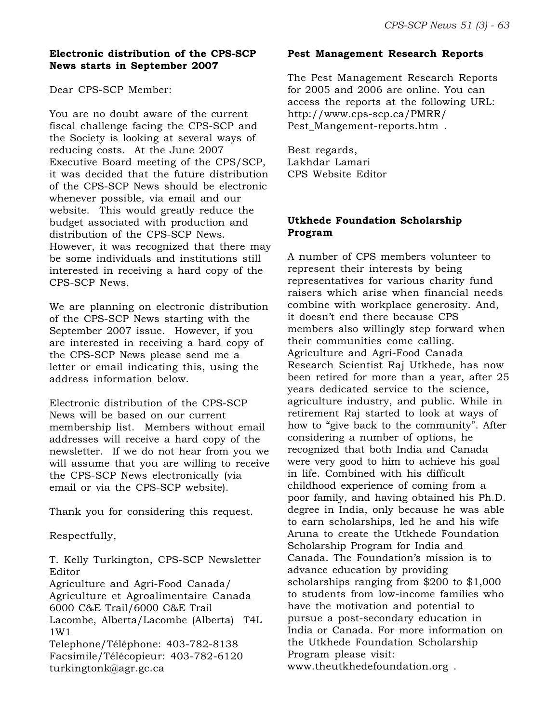# **Electronic distribution of the CPS-SCP News starts in September 2007**

Dear CPS-SCP Member:

You are no doubt aware of the current fiscal challenge facing the CPS-SCP and the Society is looking at several ways of reducing costs. At the June 2007 Executive Board meeting of the CPS/SCP, it was decided that the future distribution of the CPS-SCP News should be electronic whenever possible, via email and our website. This would greatly reduce the budget associated with production and distribution of the CPS-SCP News. However, it was recognized that there may be some individuals and institutions still interested in receiving a hard copy of the CPS-SCP News.

We are planning on electronic distribution of the CPS-SCP News starting with the September 2007 issue. However, if you are interested in receiving a hard copy of the CPS-SCP News please send me a letter or email indicating this, using the address information below.

Electronic distribution of the CPS-SCP News will be based on our current membership list. Members without email addresses will receive a hard copy of the newsletter. If we do not hear from you we will assume that you are willing to receive the CPS-SCP News electronically (via email or via the CPS-SCP website).

Thank you for considering this request.

Respectfully,

T. Kelly Turkington, CPS-SCP Newsletter Editor

Agriculture and Agri-Food Canada/ Agriculture et Agroalimentaire Canada 6000 C&E Trail/6000 C&E Trail Lacombe, Alberta/Lacombe (Alberta) T4L 1W1 Telephone/Téléphone: 403-782-8138 Facsimile/Télécopieur: 403-782-6120

turkingtonk@agr.gc.ca

# **Pest Management Research Reports**

The Pest Management Research Reports for 2005 and 2006 are online. You can access the reports at the following URL: http://www.cps-scp.ca/PMRR/ Pest Mangement-reports.htm .

Best regards, Lakhdar Lamari CPS Website Editor

# **Utkhede Foundation Scholarship Program**

A number of CPS members volunteer to represent their interests by being representatives for various charity fund raisers which arise when financial needs combine with workplace generosity. And, it doesn't end there because CPS members also willingly step forward when their communities come calling. Agriculture and Agri-Food Canada Research Scientist Raj Utkhede, has now been retired for more than a year, after 25 years dedicated service to the science, agriculture industry, and public. While in retirement Raj started to look at ways of how to "give back to the community". After considering a number of options, he recognized that both India and Canada were very good to him to achieve his goal in life. Combined with his difficult childhood experience of coming from a poor family, and having obtained his Ph.D. degree in India, only because he was able to earn scholarships, led he and his wife Aruna to create the Utkhede Foundation Scholarship Program for India and Canada. The Foundation's mission is to advance education by providing scholarships ranging from \$200 to \$1,000 to students from low-income families who have the motivation and potential to pursue a post-secondary education in India or Canada. For more information on the Utkhede Foundation Scholarship Program please visit: www.theutkhedefoundation.org .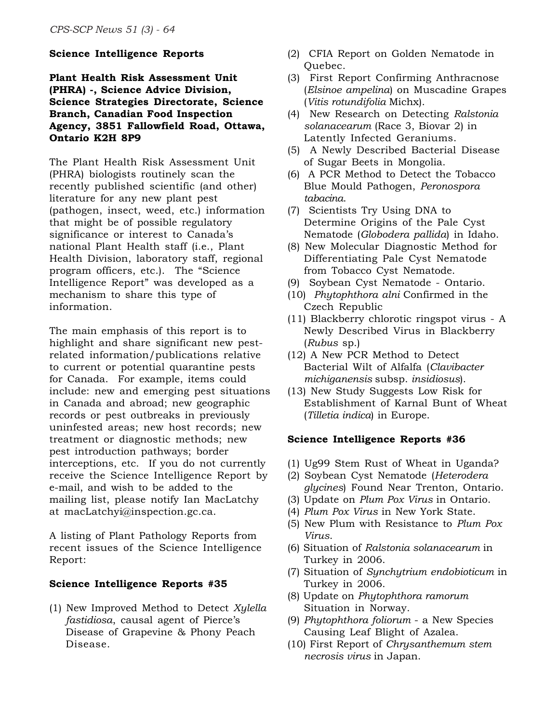#### **Science Intelligence Reports**

**Plant Health Risk Assessment Unit (PHRA) -, Science Advice Division, Science Strategies Directorate, Science Branch, Canadian Food Inspection Agency, 3851 Fallowfield Road, Ottawa, Ontario K2H 8P9**

The Plant Health Risk Assessment Unit (PHRA) biologists routinely scan the recently published scientific (and other) literature for any new plant pest (pathogen, insect, weed, etc.) information that might be of possible regulatory significance or interest to Canada's national Plant Health staff (i.e., Plant Health Division, laboratory staff, regional program officers, etc.). The "Science Intelligence Report" was developed as a mechanism to share this type of information.

The main emphasis of this report is to highlight and share significant new pestrelated information/publications relative to current or potential quarantine pests for Canada. For example, items could include: new and emerging pest situations in Canada and abroad; new geographic records or pest outbreaks in previously uninfested areas; new host records; new treatment or diagnostic methods; new pest introduction pathways; border interceptions, etc. If you do not currently receive the Science Intelligence Report by e-mail, and wish to be added to the mailing list, please notify Ian MacLatchy at macLatchyi@inspection.gc.ca.

A listing of Plant Pathology Reports from recent issues of the Science Intelligence Report:

### **Science Intelligence Reports #35**

(1) New Improved Method to Detect *Xylella fastidiosa*, causal agent of Pierce's Disease of Grapevine & Phony Peach Disease.

- (2) CFIA Report on Golden Nematode in Ouebec.
- (3) First Report Confirming Anthracnose (*Elsinoe ampelina*) on Muscadine Grapes (*Vitis rotundifolia* Michx).
- (4) New Research on Detecting *Ralstonia solanacearum* (Race 3, Biovar 2) in Latently Infected Geraniums.
- (5) A Newly Described Bacterial Disease of Sugar Beets in Mongolia.
- (6) A PCR Method to Detect the Tobacco Blue Mould Pathogen, *Peronospora tabacina*.
- (7) Scientists Try Using DNA to Determine Origins of the Pale Cyst Nematode (*Globodera pallida*) in Idaho.
- (8) New Molecular Diagnostic Method for Differentiating Pale Cyst Nematode from Tobacco Cyst Nematode.
- (9) Soybean Cyst Nematode Ontario.
- (10) *Phytophthora alni* Confirmed in the Czech Republic
- (11) Blackberry chlorotic ringspot virus A Newly Described Virus in Blackberry (*Rubus* sp.)
- (12) A New PCR Method to Detect Bacterial Wilt of Alfalfa (*Clavibacter michiganensis* subsp. *insidiosus*).
- (13) New Study Suggests Low Risk for Establishment of Karnal Bunt of Wheat (*Tilletia indica*) in Europe.

#### **Science Intelligence Reports #36**

- (1) Ug99 Stem Rust of Wheat in Uganda?
- (2) Soybean Cyst Nematode (*Heterodera glycines*) Found Near Trenton, Ontario.
- (3) Update on *Plum Pox Virus* in Ontario.
- (4) *Plum Pox Virus* in New York State.
- (5) New Plum with Resistance to *Plum Pox Virus*.
- (6) Situation of *Ralstonia solanacearum* in Turkey in 2006.
- (7) Situation of *Synchytrium endobioticum* in Turkey in 2006.
- (8) Update on *Phytophthora ramorum* Situation in Norway.
- (9) *Phytophthora foliorum*  a New Species Causing Leaf Blight of Azalea.
- (10) First Report of *Chrysanthemum stem necrosis virus* in Japan.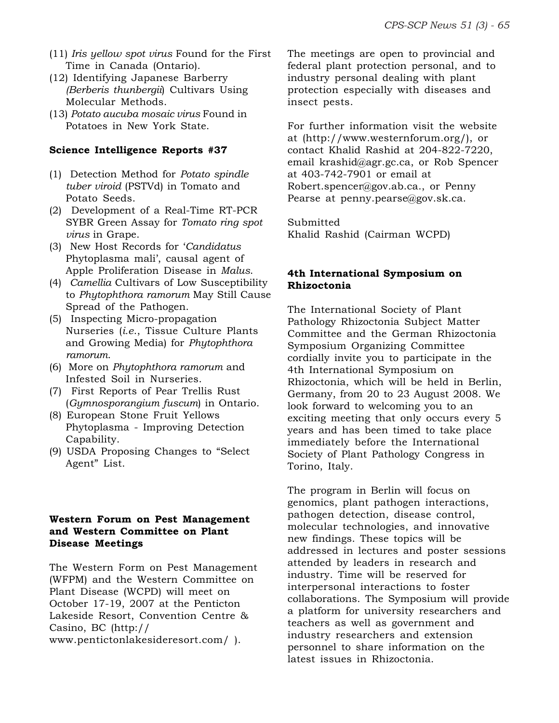- (11) *Iris yellow spot virus* Found for the First Time in Canada (Ontario).
- (12) Identifying Japanese Barberry *(Berberis thunbergii*) Cultivars Using Molecular Methods.
- (13) *Potato aucuba mosaic virus* Found in Potatoes in New York State.

# **Science Intelligence Reports #37**

- (1) Detection Method for *Potato spindle tuber viroid* (PSTVd) in Tomato and Potato Seeds.
- (2) Development of a Real-Time RT-PCR SYBR Green Assay for *Tomato ring spot virus* in Grape.
- (3) New Host Records for '*Candidatus* Phytoplasma mali', causal agent of Apple Proliferation Disease in *Malus*.
- (4) *Camellia* Cultivars of Low Susceptibility to *Phytophthora ramorum* May Still Cause Spread of the Pathogen.
- (5) Inspecting Micro-propagation Nurseries (*i.e*., Tissue Culture Plants and Growing Media) for *Phytophthora ramorum*.
- (6) More on *Phytophthora ramorum* and Infested Soil in Nurseries.
- (7) First Reports of Pear Trellis Rust (*Gymnosporangium fuscum*) in Ontario.
- (8) European Stone Fruit Yellows Phytoplasma - Improving Detection Capability.
- (9) USDA Proposing Changes to "Select Agent" List.

# **Western Forum on Pest Management and Western Committee on Plant Disease Meetings**

The Western Form on Pest Management (WFPM) and the Western Committee on Plant Disease (WCPD) will meet on October 17-19, 2007 at the Penticton Lakeside Resort, Convention Centre & Casino, BC (http:// www.pentictonlakesideresort.com/ ).

The meetings are open to provincial and federal plant protection personal, and to industry personal dealing with plant protection especially with diseases and insect pests.

For further information visit the website at (http://www.westernforum.org/), or contact Khalid Rashid at 204-822-7220, email krashid@agr.gc.ca, or Rob Spencer at 403-742-7901 or email at Robert.spencer@gov.ab.ca., or Penny Pearse at penny.pearse@gov.sk.ca.

Submitted Khalid Rashid (Cairman WCPD)

# **4th International Symposium on Rhizoctonia**

The International Society of Plant Pathology Rhizoctonia Subject Matter Committee and the German Rhizoctonia Symposium Organizing Committee cordially invite you to participate in the 4th International Symposium on Rhizoctonia, which will be held in Berlin, Germany, from 20 to 23 August 2008. We look forward to welcoming you to an exciting meeting that only occurs every 5 years and has been timed to take place immediately before the International Society of Plant Pathology Congress in Torino, Italy.

The program in Berlin will focus on genomics, plant pathogen interactions, pathogen detection, disease control, molecular technologies, and innovative new findings. These topics will be addressed in lectures and poster sessions attended by leaders in research and industry. Time will be reserved for interpersonal interactions to foster collaborations. The Symposium will provide a platform for university researchers and teachers as well as government and industry researchers and extension personnel to share information on the latest issues in Rhizoctonia.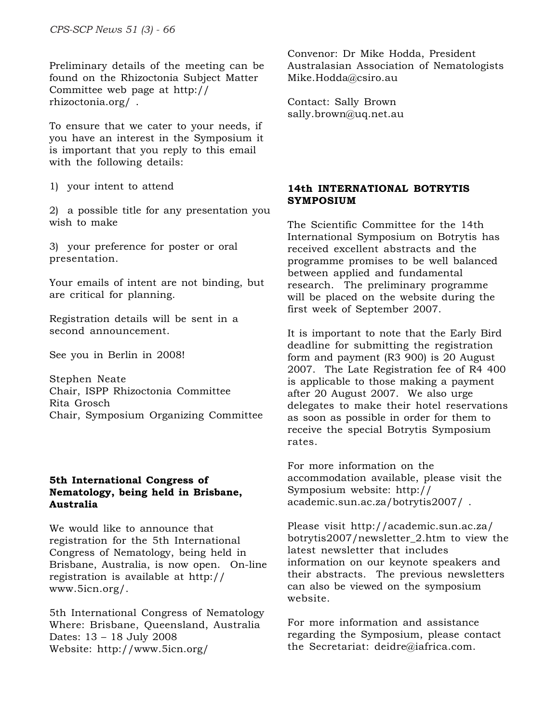Preliminary details of the meeting can be found on the Rhizoctonia Subject Matter Committee web page at http:// rhizoctonia.org/ .

To ensure that we cater to your needs, if you have an interest in the Symposium it is important that you reply to this email with the following details:

1) your intent to attend

2) a possible title for any presentation you wish to make

3) your preference for poster or oral presentation.

Your emails of intent are not binding, but are critical for planning.

Registration details will be sent in a second announcement.

See you in Berlin in 2008!

Stephen Neate Chair, ISPP Rhizoctonia Committee Rita Grosch Chair, Symposium Organizing Committee

# **5th International Congress of Nematology, being held in Brisbane, Australia**

We would like to announce that registration for the 5th International Congress of Nematology, being held in Brisbane, Australia, is now open. On-line registration is available at http:// www.5icn.org/.

5th International Congress of Nematology Where: Brisbane, Queensland, Australia Dates: 13 – 18 July 2008 Website: http://www.5icn.org/

Convenor: Dr Mike Hodda, President Australasian Association of Nematologists Mike.Hodda@csiro.au

Contact: Sally Brown sally.brown@uq.net.au

# **14th INTERNATIONAL BOTRYTIS SYMPOSIUM**

The Scientific Committee for the 14th International Symposium on Botrytis has received excellent abstracts and the programme promises to be well balanced between applied and fundamental research. The preliminary programme will be placed on the website during the first week of September 2007.

It is important to note that the Early Bird deadline for submitting the registration form and payment (R3 900) is 20 August 2007. The Late Registration fee of R4 400 is applicable to those making a payment after 20 August 2007. We also urge delegates to make their hotel reservations as soon as possible in order for them to receive the special Botrytis Symposium rates.

For more information on the accommodation available, please visit the Symposium website: http:// academic.sun.ac.za/botrytis2007/ .

Please visit http://academic.sun.ac.za/ botrytis2007/newsletter\_2.htm to view the latest newsletter that includes information on our keynote speakers and their abstracts. The previous newsletters can also be viewed on the symposium website.

For more information and assistance regarding the Symposium, please contact the Secretariat: deidre@iafrica.com.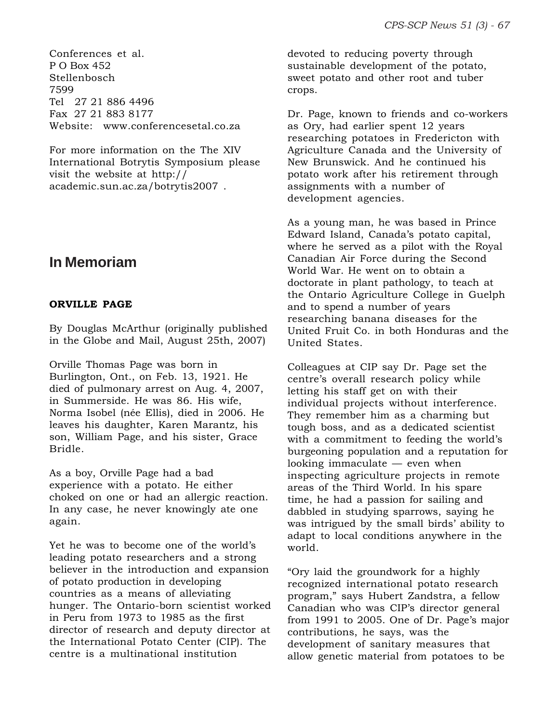Conferences et al. P O Box 452 Stellenbosch 7599 Tel 27 21 886 4496 Fax 27 21 883 8177 Website: www.conferencesetal.co.za

For more information on the The XIV International Botrytis Symposium please visit the website at http:// academic.sun.ac.za/botrytis2007 .

# **In Memoriam**

# **ORVILLE PAGE**

By Douglas McArthur (originally published in the Globe and Mail, August 25th, 2007)

Orville Thomas Page was born in Burlington, Ont., on Feb. 13, 1921. He died of pulmonary arrest on Aug. 4, 2007, in Summerside. He was 86. His wife, Norma Isobel (née Ellis), died in 2006. He leaves his daughter, Karen Marantz, his son, William Page, and his sister, Grace Bridle.

As a boy, Orville Page had a bad experience with a potato. He either choked on one or had an allergic reaction. In any case, he never knowingly ate one again.

Yet he was to become one of the world's leading potato researchers and a strong believer in the introduction and expansion of potato production in developing countries as a means of alleviating hunger. The Ontario-born scientist worked in Peru from 1973 to 1985 as the first director of research and deputy director at the International Potato Center (CIP). The centre is a multinational institution

devoted to reducing poverty through sustainable development of the potato, sweet potato and other root and tuber crops.

Dr. Page, known to friends and co-workers as Ory, had earlier spent 12 years researching potatoes in Fredericton with Agriculture Canada and the University of New Brunswick. And he continued his potato work after his retirement through assignments with a number of development agencies.

As a young man, he was based in Prince Edward Island, Canada's potato capital, where he served as a pilot with the Royal Canadian Air Force during the Second World War. He went on to obtain a doctorate in plant pathology, to teach at the Ontario Agriculture College in Guelph and to spend a number of years researching banana diseases for the United Fruit Co. in both Honduras and the United States.

Colleagues at CIP say Dr. Page set the centre's overall research policy while letting his staff get on with their individual projects without interference. They remember him as a charming but tough boss, and as a dedicated scientist with a commitment to feeding the world's burgeoning population and a reputation for looking immaculate — even when inspecting agriculture projects in remote areas of the Third World. In his spare time, he had a passion for sailing and dabbled in studying sparrows, saying he was intrigued by the small birds' ability to adapt to local conditions anywhere in the world.

"Ory laid the groundwork for a highly recognized international potato research program," says Hubert Zandstra, a fellow Canadian who was CIP's director general from 1991 to 2005. One of Dr. Page's major contributions, he says, was the development of sanitary measures that allow genetic material from potatoes to be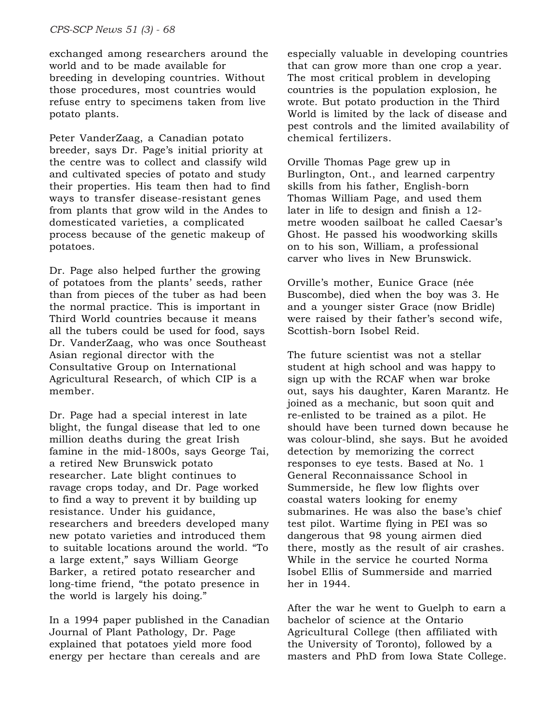exchanged among researchers around the world and to be made available for breeding in developing countries. Without those procedures, most countries would refuse entry to specimens taken from live potato plants.

Peter VanderZaag, a Canadian potato breeder, says Dr. Page's initial priority at the centre was to collect and classify wild and cultivated species of potato and study their properties. His team then had to find ways to transfer disease-resistant genes from plants that grow wild in the Andes to domesticated varieties, a complicated process because of the genetic makeup of potatoes.

Dr. Page also helped further the growing of potatoes from the plants' seeds, rather than from pieces of the tuber as had been the normal practice. This is important in Third World countries because it means all the tubers could be used for food, says Dr. VanderZaag, who was once Southeast Asian regional director with the Consultative Group on International Agricultural Research, of which CIP is a member.

Dr. Page had a special interest in late blight, the fungal disease that led to one million deaths during the great Irish famine in the mid-1800s, says George Tai, a retired New Brunswick potato researcher. Late blight continues to ravage crops today, and Dr. Page worked to find a way to prevent it by building up resistance. Under his guidance, researchers and breeders developed many new potato varieties and introduced them to suitable locations around the world. "To a large extent," says William George Barker, a retired potato researcher and long-time friend, "the potato presence in the world is largely his doing."

In a 1994 paper published in the Canadian Journal of Plant Pathology, Dr. Page explained that potatoes yield more food energy per hectare than cereals and are

especially valuable in developing countries that can grow more than one crop a year. The most critical problem in developing countries is the population explosion, he wrote. But potato production in the Third World is limited by the lack of disease and pest controls and the limited availability of chemical fertilizers.

Orville Thomas Page grew up in Burlington, Ont., and learned carpentry skills from his father, English-born Thomas William Page, and used them later in life to design and finish a 12 metre wooden sailboat he called Caesar's Ghost. He passed his woodworking skills on to his son, William, a professional carver who lives in New Brunswick.

Orville's mother, Eunice Grace (née Buscombe), died when the boy was 3. He and a younger sister Grace (now Bridle) were raised by their father's second wife, Scottish-born Isobel Reid.

The future scientist was not a stellar student at high school and was happy to sign up with the RCAF when war broke out, says his daughter, Karen Marantz. He joined as a mechanic, but soon quit and re-enlisted to be trained as a pilot. He should have been turned down because he was colour-blind, she says. But he avoided detection by memorizing the correct responses to eye tests. Based at No. 1 General Reconnaissance School in Summerside, he flew low flights over coastal waters looking for enemy submarines. He was also the base's chief test pilot. Wartime flying in PEI was so dangerous that 98 young airmen died there, mostly as the result of air crashes. While in the service he courted Norma Isobel Ellis of Summerside and married her in 1944.

After the war he went to Guelph to earn a bachelor of science at the Ontario Agricultural College (then affiliated with the University of Toronto), followed by a masters and PhD from Iowa State College.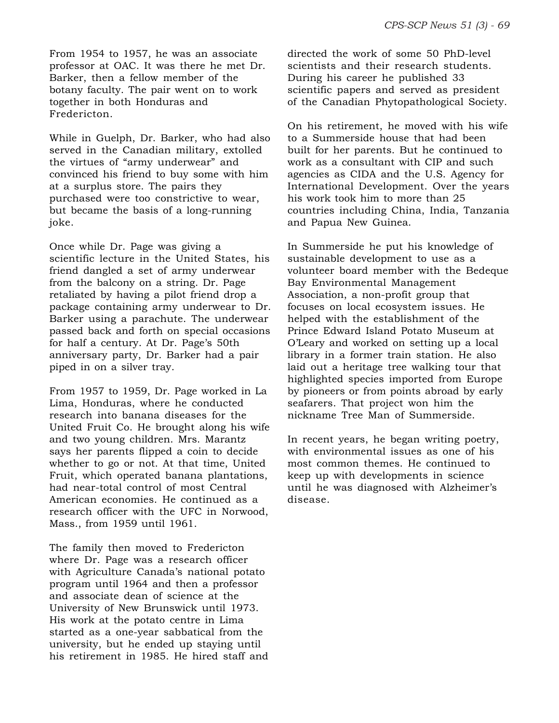From 1954 to 1957, he was an associate professor at OAC. It was there he met Dr. Barker, then a fellow member of the botany faculty. The pair went on to work together in both Honduras and Fredericton.

While in Guelph, Dr. Barker, who had also served in the Canadian military, extolled the virtues of "army underwear" and convinced his friend to buy some with him at a surplus store. The pairs they purchased were too constrictive to wear, but became the basis of a long-running joke.

Once while Dr. Page was giving a scientific lecture in the United States, his friend dangled a set of army underwear from the balcony on a string. Dr. Page retaliated by having a pilot friend drop a package containing army underwear to Dr. Barker using a parachute. The underwear passed back and forth on special occasions for half a century. At Dr. Page's 50th anniversary party, Dr. Barker had a pair piped in on a silver tray.

From 1957 to 1959, Dr. Page worked in La Lima, Honduras, where he conducted research into banana diseases for the United Fruit Co. He brought along his wife and two young children. Mrs. Marantz says her parents flipped a coin to decide whether to go or not. At that time, United Fruit, which operated banana plantations, had near-total control of most Central American economies. He continued as a research officer with the UFC in Norwood, Mass., from 1959 until 1961.

The family then moved to Fredericton where Dr. Page was a research officer with Agriculture Canada's national potato program until 1964 and then a professor and associate dean of science at the University of New Brunswick until 1973. His work at the potato centre in Lima started as a one-year sabbatical from the university, but he ended up staying until his retirement in 1985. He hired staff and directed the work of some 50 PhD-level scientists and their research students. During his career he published 33 scientific papers and served as president of the Canadian Phytopathological Society.

On his retirement, he moved with his wife to a Summerside house that had been built for her parents. But he continued to work as a consultant with CIP and such agencies as CIDA and the U.S. Agency for International Development. Over the years his work took him to more than 25 countries including China, India, Tanzania and Papua New Guinea.

In Summerside he put his knowledge of sustainable development to use as a volunteer board member with the Bedeque Bay Environmental Management Association, a non-profit group that focuses on local ecosystem issues. He helped with the establishment of the Prince Edward Island Potato Museum at O'Leary and worked on setting up a local library in a former train station. He also laid out a heritage tree walking tour that highlighted species imported from Europe by pioneers or from points abroad by early seafarers. That project won him the nickname Tree Man of Summerside.

In recent years, he began writing poetry, with environmental issues as one of his most common themes. He continued to keep up with developments in science until he was diagnosed with Alzheimer's disease.